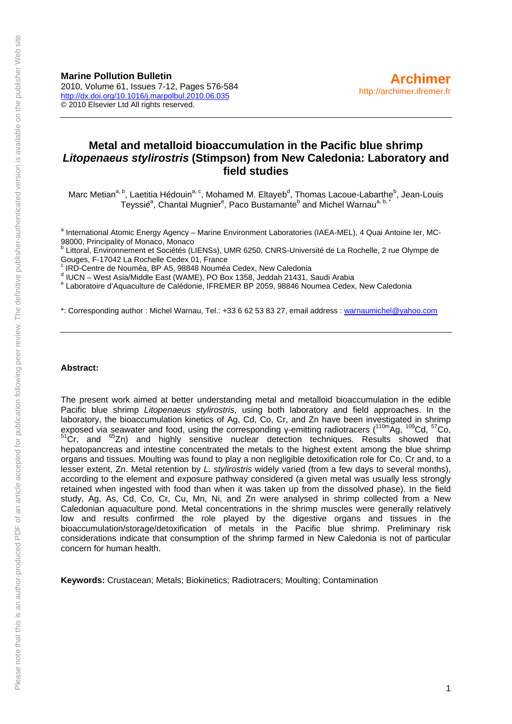**Marine Pollution Bulletin**  2010, Volume 61, Issues 7-12, Pages 576-584 <http://dx.doi.org/10.1016/j.marpolbul.2010.06.035> © 2010 Elsevier Ltd All rights reserved.

# **Metal and metalloid bioaccumulation in the Pacific blue shrimp**  *Litopenaeus stylirostris* **(Stimpson) from New Caledonia: Laboratory and field studies**

Marc Metian<sup>a, b</sup>, Laetitia Hédouin<sup>a, c</sup>, Mohamed M. Eltayeb<sup>d</sup>, Thomas Lacoue-Labarthe<sup>b</sup>, Jean-Louis Teyssié<sup>a</sup>, Chantal Mugnier<sup>e</sup>, Paco Bustamante<sup>b</sup> and Michel Warnau<sup>a, b, \*</sup>

<sup>a</sup> International Atomic Energy Agency – Marine Environment Laboratories (IAEA-MEL), 4 Quai Antoine Ier, MC-98000, Principality of Monaco, Monaco

<sup>b</sup> Littoral, Environnement et Sociétés (LIENSs), UMR 6250, CNRS-Université de La Rochelle, 2 rue Olympe de Gouges, F-17042 La Rochelle Cedex 01, France

c IRD-Centre de Nouméa, BP A5, 98848 Nouméa Cedex, New Caledonia

<sup>d</sup> IUCN – West Asia/Middle East (WAME), PO Box 1358, Jeddah 21431, Saudi Arabia<br><sup>e</sup> Loberateire d'Aguesulture de Colédonie, IEBEMER BR 2050, 98846 Noumee Codex

Laboratoire d'Aquaculture de Calédonie, IFREMER BP 2059, 98846 Noumea Cedex, New Caledonia

\*: Corresponding author : Michel Warnau, Tel.: +33 6 62 53 83 27, email address : [warnaumichel@yahoo.com](mailto:warnaumichel@yahoo.com)

#### **Abstract:**

The present work aimed at better understanding metal and metalloid bioaccumulation in the edible Pacific blue shrimp *Litopenaeus stylirostris*, using both laboratory and field approaches. In the laboratory, the bioaccumulation kinetics of Ag, Cd, Co, Cr, and Zn have been investigated in shrimp exposed via seawater and food, using the corresponding γ-emitting radiotracers (<sup>110m</sup>Ag, <sup>109</sup>Cd, <sup>57</sup>Co,  $51$ Cr, and  $65$ Zn) and highly sensitive nuclear detection techniques. Results showed that hepatopancreas and intestine concentrated the metals to the highest extent among the blue shrimp organs and tissues. Moulting was found to play a non negligible detoxification role for Co, Cr and, to a lesser extent, Zn. Metal retention by *L. stylirostris* widely varied (from a few days to several months), according to the element and exposure pathway considered (a given metal was usually less strongly retained when ingested with food than when it was taken up from the dissolved phase). In the field study, Ag, As, Cd, Co, Cr, Cu, Mn, Ni, and Zn were analysed in shrimp collected from a New Caledonian aquaculture pond. Metal concentrations in the shrimp muscles were generally relatively low and results confirmed the role played by the digestive organs and tissues in the bioaccumulation/storage/detoxification of metals in the Pacific blue shrimp. Preliminary risk considerations indicate that consumption of the shrimp farmed in New Caledonia is not of particular concern for human health.

**Keywords:** Crustacean; Metals; Biokinetics; Radiotracers; Moulting; Contamination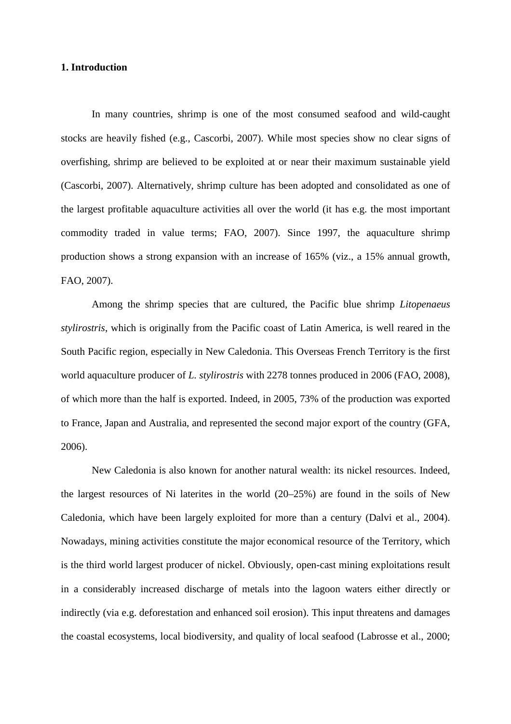## **1. Introduction**

In many countries, shrimp is one of the most consumed seafood and wild-caught stocks are heavily fished (e.g., Cascorbi, 2007). While most species show no clear signs of overfishing, shrimp are believed to be exploited at or near their maximum sustainable yield (Cascorbi, 2007). Alternatively, shrimp culture has been adopted and consolidated as one of the largest profitable aquaculture activities all over the world (it has e.g. the most important commodity traded in value terms; FAO, 2007). Since 1997, the aquaculture shrimp production shows a strong expansion with an increase of 165% (viz., a 15% annual growth, FAO, 2007).

Among the shrimp species that are cultured, the Pacific blue shrimp *Litopenaeus stylirostris*, which is originally from the Pacific coast of Latin America, is well reared in the South Pacific region, especially in New Caledonia. This Overseas French Territory is the first world aquaculture producer of *L. stylirostris* with 2278 tonnes produced in 2006 (FAO, 2008), of which more than the half is exported. Indeed, in 2005, 73% of the production was exported to France, Japan and Australia, and represented the second major export of the country (GFA, 2006).

New Caledonia is also known for another natural wealth: its nickel resources. Indeed, the largest resources of Ni laterites in the world (20–25%) are found in the soils of New Caledonia, which have been largely exploited for more than a century (Dalvi et al., 2004). Nowadays, mining activities constitute the major economical resource of the Territory, which is the third world largest producer of nickel. Obviously, open-cast mining exploitations result in a considerably increased discharge of metals into the lagoon waters either directly or indirectly (via e.g. deforestation and enhanced soil erosion). This input threatens and damages the coastal ecosystems, local biodiversity, and quality of local seafood (Labrosse et al., 2000;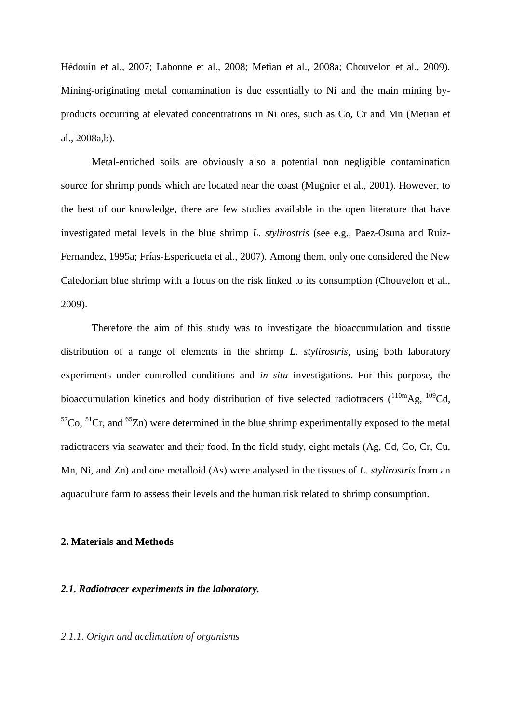Hédouin et al., 2007; Labonne et al., 2008; Metian et al., 2008a; Chouvelon et al., 2009). Mining-originating metal contamination is due essentially to Ni and the main mining byproducts occurring at elevated concentrations in Ni ores, such as Co, Cr and Mn (Metian et al., 2008a,b).

Metal-enriched soils are obviously also a potential non negligible contamination source for shrimp ponds which are located near the coast (Mugnier et al., 2001). However, to the best of our knowledge, there are few studies available in the open literature that have investigated metal levels in the blue shrimp *L. stylirostris* (see e.g., Paez-Osuna and Ruiz-Fernandez, 1995a; Frías-Espericueta et al., 2007). Among them, only one considered the New Caledonian blue shrimp with a focus on the risk linked to its consumption (Chouvelon et al., 2009).

Therefore the aim of this study was to investigate the bioaccumulation and tissue distribution of a range of elements in the shrimp *L. stylirostris*, using both laboratory experiments under controlled conditions and *in situ* investigations. For this purpose, the bioaccumulation kinetics and body distribution of five selected radiotracers  $(110m)$ Ag,  $109$ Cd,  ${}^{57}Co$ ,  ${}^{51}Cr$ , and  ${}^{65}Zn$ ) were determined in the blue shrimp experimentally exposed to the metal radiotracers via seawater and their food. In the field study, eight metals (Ag, Cd, Co, Cr, Cu, Mn, Ni, and Zn) and one metalloid (As) were analysed in the tissues of *L. stylirostris* from an aquaculture farm to assess their levels and the human risk related to shrimp consumption.

## **2. Materials and Methods**

#### *2.1. Radiotracer experiments in the laboratory.*

#### *2.1.1. Origin and acclimation of organisms*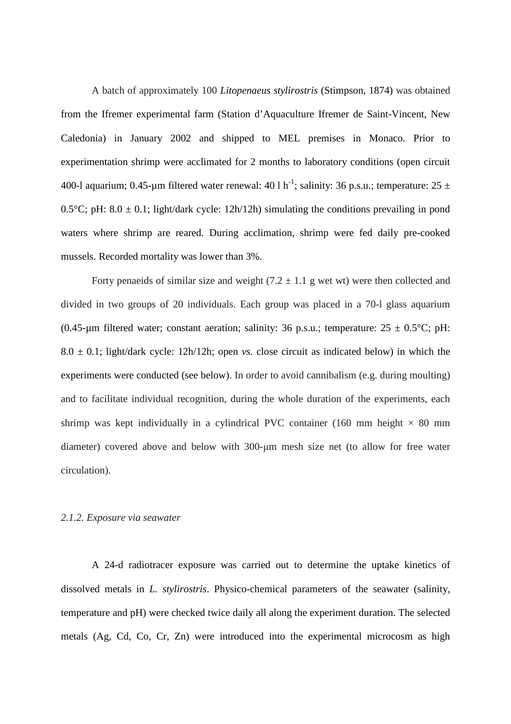A batch of approximately 100 *Litopenaeus stylirostris* (Stimpson, 1874) was obtained from the Ifremer experimental farm (Station d'Aquaculture Ifremer de Saint-Vincent, New Caledonia) in January 2002 and shipped to MEL premises in Monaco. Prior to experimentation shrimp were acclimated for 2 months to laboratory conditions (open circuit 400-l aquarium; 0.45-um filtered water renewal: 40 l h<sup>-1</sup>; salinity: 36 p.s.u.; temperature: 25  $\pm$ 0.5°C; pH:  $8.0 \pm 0.1$ ; light/dark cycle: 12h/12h) simulating the conditions prevailing in pond waters where shrimp are reared. During acclimation, shrimp were fed daily pre-cooked mussels. Recorded mortality was lower than 3%.

Forty penaeids of similar size and weight  $(7.2 \pm 1.1)$  g wet wt) were then collected and divided in two groups of 20 individuals. Each group was placed in a 70-l glass aquarium (0.45-um filtered water; constant aeration; salinity: 36 p.s.u.; temperature:  $25 \pm 0.5^{\circ}$ C; pH:  $8.0 \pm 0.1$ ; light/dark cycle: 12h/12h; open *vs.* close circuit as indicated below) in which the experiments were conducted (see below). In order to avoid cannibalism (e.g. during moulting) and to facilitate individual recognition, during the whole duration of the experiments, each shrimp was kept individually in a cylindrical PVC container (160 mm height  $\times$  80 mm diameter) covered above and below with 300-µm mesh size net (to allow for free water circulation).

#### *2.1.2. Exposure via seawater*

A 24-d radiotracer exposure was carried out to determine the uptake kinetics of dissolved metals in *L. stylirostris*. Physico-chemical parameters of the seawater (salinity, temperature and pH) were checked twice daily all along the experiment duration. The selected metals (Ag, Cd, Co, Cr, Zn) were introduced into the experimental microcosm as high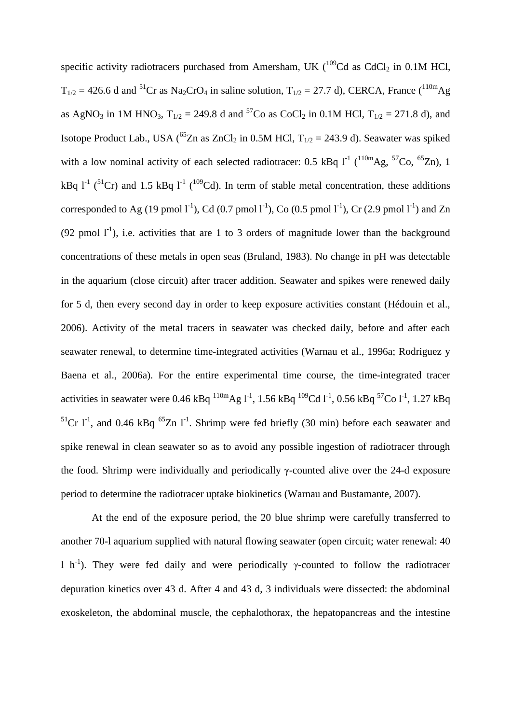specific activity radiotracers purchased from Amersham, UK  $(^{109}Cd$  as CdCl<sub>2</sub> in 0.1M HCl,  $T_{1/2} = 426.6$  d and <sup>51</sup>Cr as Na<sub>2</sub>CrO<sub>4</sub> in saline solution,  $T_{1/2} = 27.7$  d), CERCA, France (<sup>110m</sup>Ag as AgNO<sub>3</sub> in 1M HNO<sub>3</sub>,  $T_{1/2} = 249.8$  d and <sup>57</sup>Co as CoCl<sub>2</sub> in 0.1M HCl,  $T_{1/2} = 271.8$  d), and Isotope Product Lab., USA (<sup>65</sup>Zn as ZnCl<sub>2</sub> in 0.5M HCl,  $T_{1/2} = 243.9$  d). Seawater was spiked with a low nominal activity of each selected radiotracer: 0.5 kBq  $1^{-1}$  ( $110mAg$ ,  $57Co$ ,  $65Zn$ ), 1 kBq  $l^{-1}$  (<sup>51</sup>Cr) and 1.5 kBq  $l^{-1}$  (<sup>109</sup>Cd). In term of stable metal concentration, these additions corresponded to Ag (19 pmol  $l^{-1}$ ), Cd (0.7 pmol  $l^{-1}$ ), Co (0.5 pmol  $l^{-1}$ ), Cr (2.9 pmol  $l^{-1}$ ) and Zn (92 pmol  $1^{-1}$ ), i.e. activities that are 1 to 3 orders of magnitude lower than the background concentrations of these metals in open seas (Bruland, 1983). No change in pH was detectable in the aquarium (close circuit) after tracer addition. Seawater and spikes were renewed daily for 5 d, then every second day in order to keep exposure activities constant (Hédouin et al., 2006). Activity of the metal tracers in seawater was checked daily, before and after each seawater renewal, to determine time-integrated activities (Warnau et al., 1996a; Rodriguez y Baena et al., 2006a). For the entire experimental time course, the time-integrated tracer activities in seawater were 0.46 kBq  $^{110m}$ Ag l<sup>-1</sup>, 1.56 kBq  $^{109}$ Cd l<sup>-1</sup>, 0.56 kBq  $^{57}$ Co l<sup>-1</sup>, 1.27 kBq  $5^1$ Cr l<sup>-1</sup>, and 0.46 kBq  $65$ Zn l<sup>-1</sup>. Shrimp were fed briefly (30 min) before each seawater and spike renewal in clean seawater so as to avoid any possible ingestion of radiotracer through the food. Shrimp were individually and periodically γ-counted alive over the 24-d exposure period to determine the radiotracer uptake biokinetics (Warnau and Bustamante, 2007).

At the end of the exposure period, the 20 blue shrimp were carefully transferred to another 70-l aquarium supplied with natural flowing seawater (open circuit; water renewal: 40 l h<sup>-1</sup>). They were fed daily and were periodically γ-counted to follow the radiotracer depuration kinetics over 43 d. After 4 and 43 d, 3 individuals were dissected: the abdominal exoskeleton, the abdominal muscle, the cephalothorax, the hepatopancreas and the intestine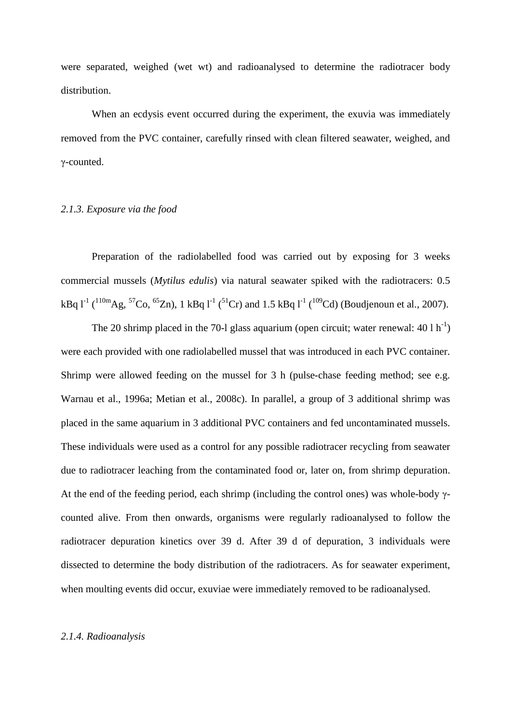were separated, weighed (wet wt) and radioanalysed to determine the radiotracer body distribution.

When an ecdysis event occurred during the experiment, the exuvia was immediately removed from the PVC container, carefully rinsed with clean filtered seawater, weighed, and γ-counted.

## *2.1.3. Exposure via the food*

Preparation of the radiolabelled food was carried out by exposing for 3 weeks commercial mussels (*Mytilus edulis*) via natural seawater spiked with the radiotracers: 0.5 kBq  $l^{-1}$  (<sup>110m</sup>Ag, <sup>57</sup>Co, <sup>65</sup>Zn), 1 kBq  $l^{-1}$  (<sup>51</sup>Cr) and 1.5 kBq  $l^{-1}$  (<sup>109</sup>Cd) (Boudjenoun et al., 2007).

The 20 shrimp placed in the 70-l glass aquarium (open circuit; water renewal:  $40 \, 1 \, \text{h}^{-1}$ ) were each provided with one radiolabelled mussel that was introduced in each PVC container. Shrimp were allowed feeding on the mussel for 3 h (pulse-chase feeding method; see e.g. Warnau et al., 1996a; Metian et al., 2008c). In parallel, a group of 3 additional shrimp was placed in the same aquarium in 3 additional PVC containers and fed uncontaminated mussels. These individuals were used as a control for any possible radiotracer recycling from seawater due to radiotracer leaching from the contaminated food or, later on, from shrimp depuration. At the end of the feeding period, each shrimp (including the control ones) was whole-body γcounted alive. From then onwards, organisms were regularly radioanalysed to follow the radiotracer depuration kinetics over 39 d. After 39 d of depuration, 3 individuals were dissected to determine the body distribution of the radiotracers. As for seawater experiment, when moulting events did occur, exuviae were immediately removed to be radioanalysed.

## *2.1.4. Radioanalysis*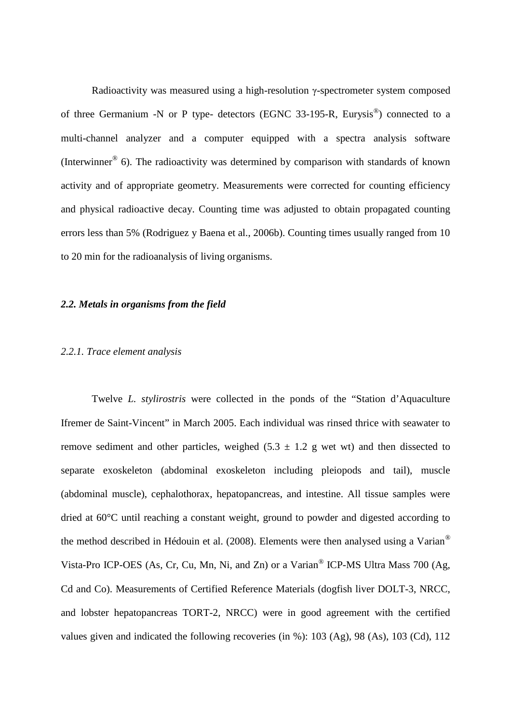Radioactivity was measured using a high-resolution γ-spectrometer system composed of three Germanium -N or P type- detectors (EGNC 33-195-R, Eurysis®) connected to a multi-channel analyzer and a computer equipped with a spectra analysis software (Interwinner® 6). The radioactivity was determined by comparison with standards of known activity and of appropriate geometry. Measurements were corrected for counting efficiency and physical radioactive decay. Counting time was adjusted to obtain propagated counting errors less than 5% (Rodriguez y Baena et al., 2006b). Counting times usually ranged from 10 to 20 min for the radioanalysis of living organisms.

#### *2.2. Metals in organisms from the field*

### *2.2.1. Trace element analysis*

Twelve *L. stylirostris* were collected in the ponds of the "Station d'Aquaculture Ifremer de Saint-Vincent" in March 2005. Each individual was rinsed thrice with seawater to remove sediment and other particles, weighed  $(5.3 \pm 1.2$  g wet wt) and then dissected to separate exoskeleton (abdominal exoskeleton including pleiopods and tail), muscle (abdominal muscle), cephalothorax, hepatopancreas, and intestine. All tissue samples were dried at 60°C until reaching a constant weight, ground to powder and digested according to the method described in Hédouin et al. (2008). Elements were then analysed using a Varian® Vista-Pro ICP-OES (As, Cr, Cu, Mn, Ni, and Zn) or a Varian<sup>®</sup> ICP-MS Ultra Mass 700 (Ag, Cd and Co). Measurements of Certified Reference Materials (dogfish liver DOLT-3, NRCC, and lobster hepatopancreas TORT-2, NRCC) were in good agreement with the certified values given and indicated the following recoveries (in %): 103 (Ag), 98 (As), 103 (Cd), 112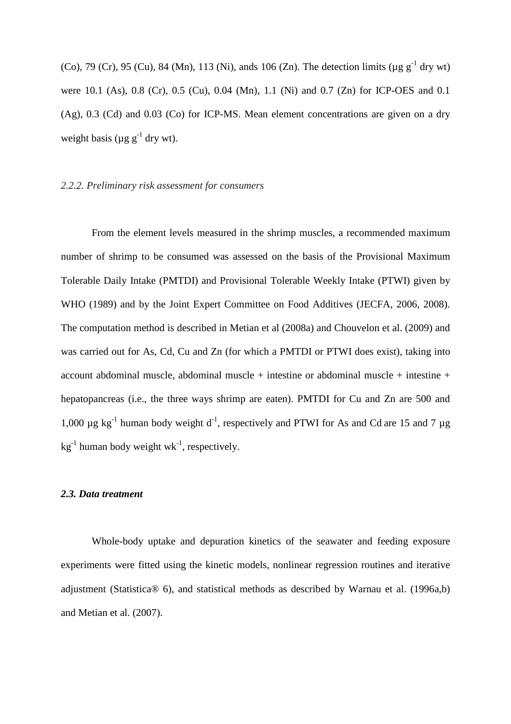(Co), 79 (Cr), 95 (Cu), 84 (Mn), 113 (Ni), ands 106 (Zn). The detection limits ( $\mu$ g g<sup>-1</sup> dry wt) were 10.1 (As), 0.8 (Cr), 0.5 (Cu), 0.04 (Mn), 1.1 (Ni) and 0.7 (Zn) for ICP-OES and 0.1 (Ag), 0.3 (Cd) and 0.03 (Co) for ICP-MS. Mean element concentrations are given on a dry weight basis ( $\mu$ g g<sup>-1</sup> dry wt).

## *2.2.2. Preliminary risk assessment for consumers*

From the element levels measured in the shrimp muscles, a recommended maximum number of shrimp to be consumed was assessed on the basis of the Provisional Maximum Tolerable Daily Intake (PMTDI) and Provisional Tolerable Weekly Intake (PTWI) given by WHO (1989) and by the Joint Expert Committee on Food Additives (JECFA, 2006, 2008). The computation method is described in Metian et al (2008a) and Chouvelon et al. (2009) and was carried out for As, Cd, Cu and Zn (for which a PMTDI or PTWI does exist), taking into account abdominal muscle, abdominal muscle + intestine or abdominal muscle + intestine + hepatopancreas (i.e., the three ways shrimp are eaten). PMTDI for Cu and Zn are 500 and 1,000  $\mu$ g kg<sup>-1</sup> human body weight d<sup>-1</sup>, respectively and PTWI for As and Cd are 15 and 7  $\mu$ g  $kg^{-1}$  human body weight wk<sup>-1</sup>, respectively.

#### *2.3. Data treatment*

Whole-body uptake and depuration kinetics of the seawater and feeding exposure experiments were fitted using the kinetic models, nonlinear regression routines and iterative adjustment (Statistica® 6), and statistical methods as described by Warnau et al. (1996a,b) and Metian et al. (2007).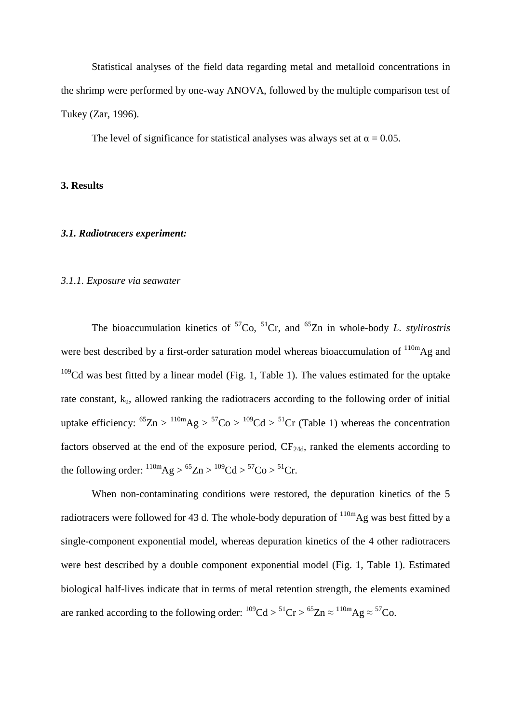Statistical analyses of the field data regarding metal and metalloid concentrations in the shrimp were performed by one-way ANOVA, followed by the multiple comparison test of Tukey (Zar, 1996).

The level of significance for statistical analyses was always set at  $\alpha = 0.05$ .

**3. Results** 

#### *3.1. Radiotracers experiment:*

### *3.1.1. Exposure via seawater*

The bioaccumulation kinetics of  ${}^{57}Co$ ,  ${}^{51}Cr$ , and  ${}^{65}Zn$  in whole-body *L. stylirostris* were best described by a first-order saturation model whereas bioaccumulation of  $110m\text{Ag}$  and  $109$ Cd was best fitted by a linear model (Fig. 1, Table 1). The values estimated for the uptake rate constant, k<sub>u</sub>, allowed ranking the radiotracers according to the following order of initial uptake efficiency:  ${}^{65}Zn > {}^{110m}Ag > {}^{57}Co > {}^{109}Cd > {}^{51}Cr$  (Table 1) whereas the concentration factors observed at the end of the exposure period,  $CF<sub>24d</sub>$ , ranked the elements according to the following order:  $^{110m}Ag > ^{65}Zn > ^{109}Cd > ^{57}Co > ^{51}Cr$ .

When non-contaminating conditions were restored, the depuration kinetics of the 5 radiotracers were followed for 43 d. The whole-body depuration of  $^{110m}$ Ag was best fitted by a single-component exponential model, whereas depuration kinetics of the 4 other radiotracers were best described by a double component exponential model (Fig. 1, Table 1). Estimated biological half-lives indicate that in terms of metal retention strength, the elements examined are ranked according to the following order:  $^{109}Cd > ^{51}Cr > ^{65}Zn \approx ^{110m}Ag \approx ^{57}Co$ .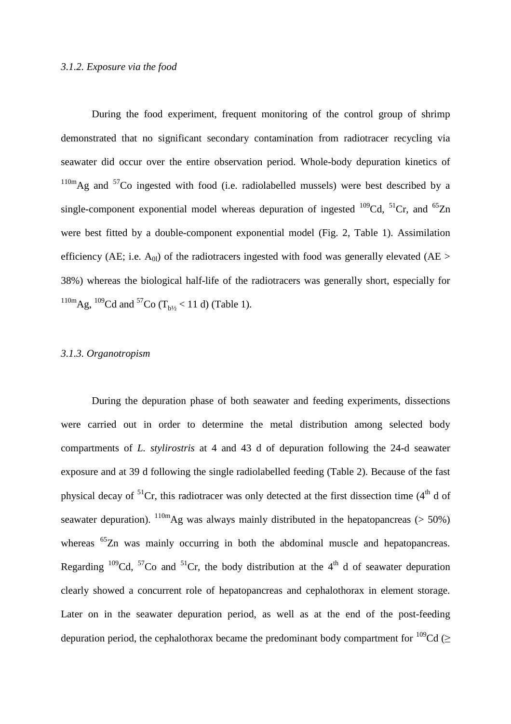#### *3.1.2. Exposure via the food*

During the food experiment, frequent monitoring of the control group of shrimp demonstrated that no significant secondary contamination from radiotracer recycling via seawater did occur over the entire observation period. Whole-body depuration kinetics of  $110m$ Ag and  $57C$ o ingested with food (i.e. radiolabelled mussels) were best described by a single-component exponential model whereas depuration of ingested  $^{109}$ Cd,  $^{51}$ Cr, and  $^{65}$ Zn were best fitted by a double-component exponential model (Fig. 2, Table 1). Assimilation efficiency (AE; i.e.  $A_{0l}$ ) of the radiotracers ingested with food was generally elevated (AE > 38%) whereas the biological half-life of the radiotracers was generally short, especially for  $^{110m}$ Ag,  $^{109}$ Cd and  $^{57}$ Co (T<sub>b</sub> $/$  < 11 d) (Table 1).

## *3.1.3. Organotropism*

During the depuration phase of both seawater and feeding experiments, dissections were carried out in order to determine the metal distribution among selected body compartments of *L. stylirostris* at 4 and 43 d of depuration following the 24-d seawater exposure and at 39 d following the single radiolabelled feeding (Table 2). Because of the fast physical decay of  ${}^{51}Cr$ , this radiotracer was only detected at the first dissection time (4<sup>th</sup> d of seawater depuration).  $\frac{110 \text{m}}{\text{Ag}}$  was always mainly distributed in the hepatopancreas (> 50%) whereas <sup>65</sup>Zn was mainly occurring in both the abdominal muscle and hepatopancreas. Regarding  $^{109}$ Cd,  $^{57}$ Co and  $^{51}$ Cr, the body distribution at the 4<sup>th</sup> d of seawater depuration clearly showed a concurrent role of hepatopancreas and cephalothorax in element storage. Later on in the seawater depuration period, as well as at the end of the post-feeding depuration period, the cephalothorax became the predominant body compartment for  $^{109}Cd$  ( $\geq$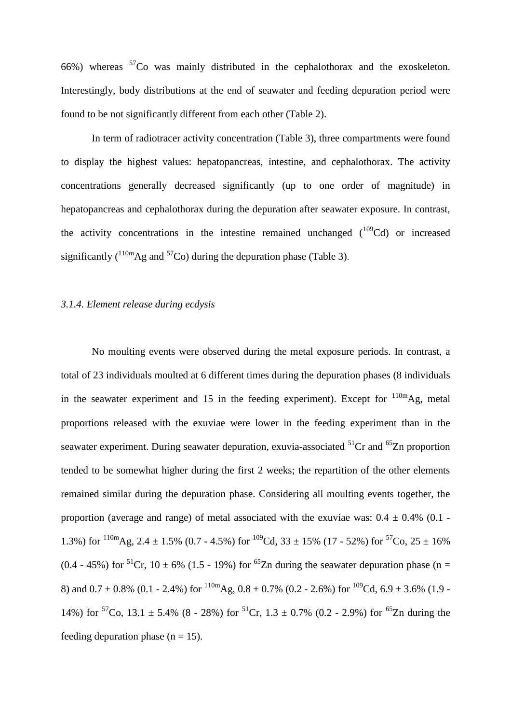66%) whereas  $57C$  was mainly distributed in the cephalothorax and the exoskeleton. Interestingly, body distributions at the end of seawater and feeding depuration period were found to be not significantly different from each other (Table 2).

In term of radiotracer activity concentration (Table 3), three compartments were found to display the highest values: hepatopancreas, intestine, and cephalothorax. The activity concentrations generally decreased significantly (up to one order of magnitude) in hepatopancreas and cephalothorax during the depuration after seawater exposure. In contrast, the activity concentrations in the intestine remained unchanged  $(^{109}Cd)$  or increased significantly  $({}^{110m}Ag$  and  ${}^{57}Co$ ) during the depuration phase (Table 3).

#### *3.1.4. Element release during ecdysis*

No moulting events were observed during the metal exposure periods. In contrast, a total of 23 individuals moulted at 6 different times during the depuration phases (8 individuals in the seawater experiment and 15 in the feeding experiment). Except for  $110m\text{Ag}$ , metal proportions released with the exuviae were lower in the feeding experiment than in the seawater experiment. During seawater depuration, exuvia-associated  ${}^{51}Cr$  and  ${}^{65}Zn$  proportion tended to be somewhat higher during the first 2 weeks; the repartition of the other elements remained similar during the depuration phase. Considering all moulting events together, the proportion (average and range) of metal associated with the exuviae was:  $0.4 \pm 0.4\%$  (0.1 -1.3%) for  $^{110m}$ Ag, 2.4  $\pm$  1.5% (0.7 - 4.5%) for  $^{109}$ Cd, 33  $\pm$  15% (17 - 52%) for  $^{57}$ Co, 25  $\pm$  16% (0.4 - 45%) for <sup>51</sup>Cr, 10  $\pm$  6% (1.5 - 19%) for <sup>65</sup>Zn during the seawater depuration phase (n = 8) and  $0.7 \pm 0.8\%$  (0.1 - 2.4%) for  $^{110m}$ Ag,  $0.8 \pm 0.7\%$  (0.2 - 2.6%) for  $^{109}$ Cd,  $6.9 \pm 3.6\%$  (1.9 -14%) for <sup>57</sup>Co, 13.1  $\pm$  5.4% (8 - 28%) for <sup>51</sup>Cr, 1.3  $\pm$  0.7% (0.2 - 2.9%) for <sup>65</sup>Zn during the feeding depuration phase  $(n = 15)$ .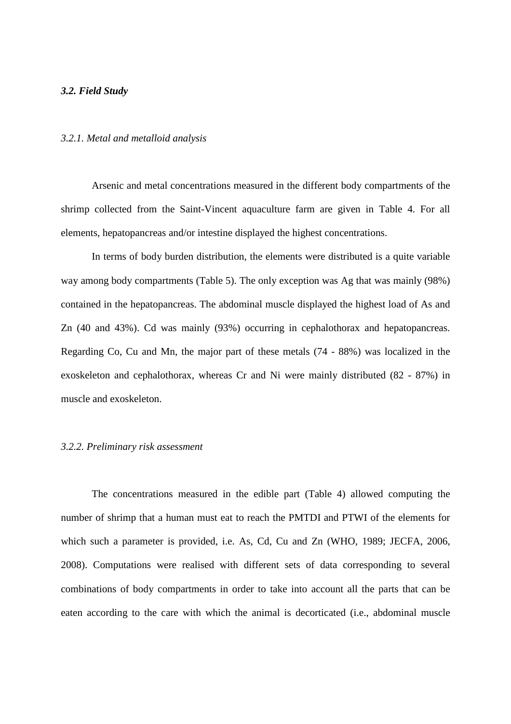## *3.2. Field Study*

#### *3.2.1. Metal and metalloid analysis*

Arsenic and metal concentrations measured in the different body compartments of the shrimp collected from the Saint-Vincent aquaculture farm are given in Table 4. For all elements, hepatopancreas and/or intestine displayed the highest concentrations.

In terms of body burden distribution, the elements were distributed is a quite variable way among body compartments (Table 5). The only exception was Ag that was mainly (98%) contained in the hepatopancreas. The abdominal muscle displayed the highest load of As and Zn (40 and 43%). Cd was mainly (93%) occurring in cephalothorax and hepatopancreas. Regarding Co, Cu and Mn, the major part of these metals (74 - 88%) was localized in the exoskeleton and cephalothorax, whereas Cr and Ni were mainly distributed (82 - 87%) in muscle and exoskeleton.

#### *3.2.2. Preliminary risk assessment*

The concentrations measured in the edible part (Table 4) allowed computing the number of shrimp that a human must eat to reach the PMTDI and PTWI of the elements for which such a parameter is provided, i.e. As, Cd, Cu and Zn (WHO, 1989; JECFA, 2006, 2008). Computations were realised with different sets of data corresponding to several combinations of body compartments in order to take into account all the parts that can be eaten according to the care with which the animal is decorticated (i.e., abdominal muscle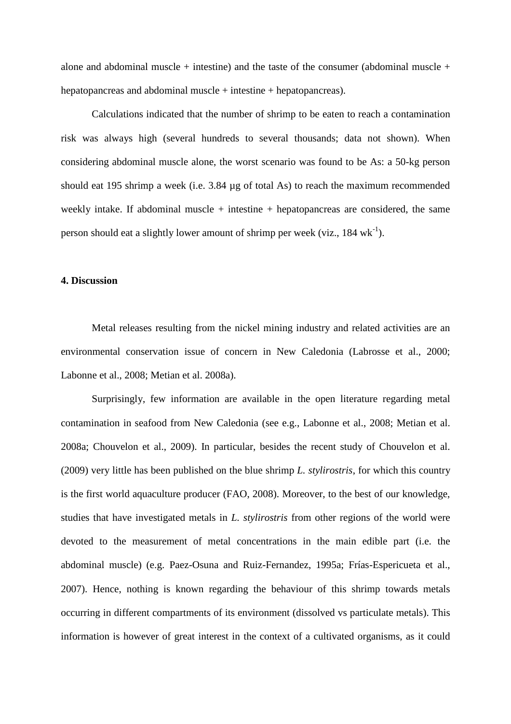alone and abdominal muscle + intestine) and the taste of the consumer (abdominal muscle + hepatopancreas and abdominal muscle + intestine + hepatopancreas).

Calculations indicated that the number of shrimp to be eaten to reach a contamination risk was always high (several hundreds to several thousands; data not shown). When considering abdominal muscle alone, the worst scenario was found to be As: a 50-kg person should eat 195 shrimp a week (i.e. 3.84 µg of total As) to reach the maximum recommended weekly intake. If abdominal muscle  $+$  intestine  $+$  hepatopancreas are considered, the same person should eat a slightly lower amount of shrimp per week (viz.,  $184 \text{ wk}^{-1}$ ).

## **4. Discussion**

Metal releases resulting from the nickel mining industry and related activities are an environmental conservation issue of concern in New Caledonia (Labrosse et al., 2000; Labonne et al., 2008; Metian et al. 2008a).

Surprisingly, few information are available in the open literature regarding metal contamination in seafood from New Caledonia (see e.g., Labonne et al., 2008; Metian et al. 2008a; Chouvelon et al., 2009). In particular, besides the recent study of Chouvelon et al. (2009) very little has been published on the blue shrimp *L. stylirostris*, for which this country is the first world aquaculture producer (FAO, 2008). Moreover, to the best of our knowledge, studies that have investigated metals in *L. stylirostris* from other regions of the world were devoted to the measurement of metal concentrations in the main edible part (i.e. the abdominal muscle) (e.g. Paez-Osuna and Ruiz-Fernandez, 1995a; Frías-Espericueta et al., 2007). Hence, nothing is known regarding the behaviour of this shrimp towards metals occurring in different compartments of its environment (dissolved vs particulate metals). This information is however of great interest in the context of a cultivated organisms, as it could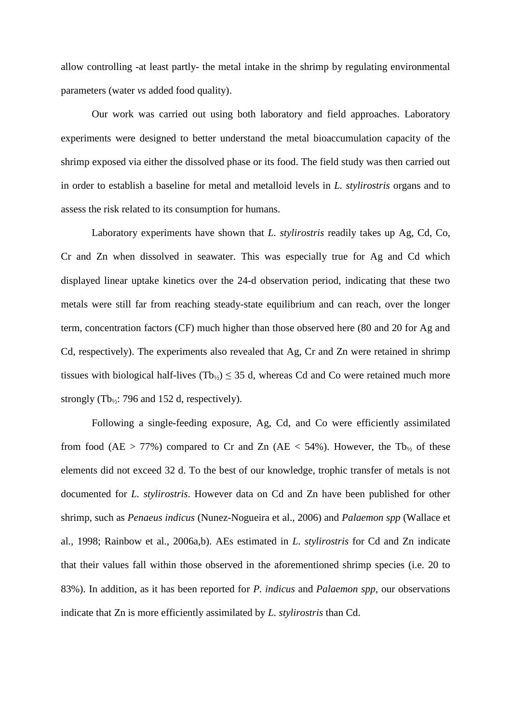allow controlling -at least partly- the metal intake in the shrimp by regulating environmental parameters (water *vs* added food quality).

Our work was carried out using both laboratory and field approaches. Laboratory experiments were designed to better understand the metal bioaccumulation capacity of the shrimp exposed via either the dissolved phase or its food. The field study was then carried out in order to establish a baseline for metal and metalloid levels in *L. stylirostris* organs and to assess the risk related to its consumption for humans.

Laboratory experiments have shown that *L. stylirostris* readily takes up Ag, Cd, Co, Cr and Zn when dissolved in seawater. This was especially true for Ag and Cd which displayed linear uptake kinetics over the 24-d observation period, indicating that these two metals were still far from reaching steady-state equilibrium and can reach, over the longer term, concentration factors (CF) much higher than those observed here (80 and 20 for Ag and Cd, respectively). The experiments also revealed that Ag, Cr and Zn were retained in shrimp tissues with biological half-lives (Tb<sub>1/2</sub>)  $\leq$  35 d, whereas Cd and Co were retained much more strongly (Tb<sub>1/2</sub>: 796 and 152 d, respectively).

Following a single-feeding exposure, Ag, Cd, and Co were efficiently assimilated from food (AE > 77%) compared to Cr and Zn (AE < 54%). However, the Tb<sub>1/2</sub> of these elements did not exceed 32 d. To the best of our knowledge, trophic transfer of metals is not documented for *L. stylirostris*. However data on Cd and Zn have been published for other shrimp, such as *Penaeus indicus* (Nunez-Nogueira et al., 2006) and *Palaemon spp* (Wallace et al., 1998; Rainbow et al., 2006a,b). AEs estimated in *L. stylirostris* for Cd and Zn indicate that their values fall within those observed in the aforementioned shrimp species (i.e. 20 to 83%). In addition, as it has been reported for *P. indicus* and *Palaemon spp*, our observations indicate that Zn is more efficiently assimilated by *L. stylirostris* than Cd.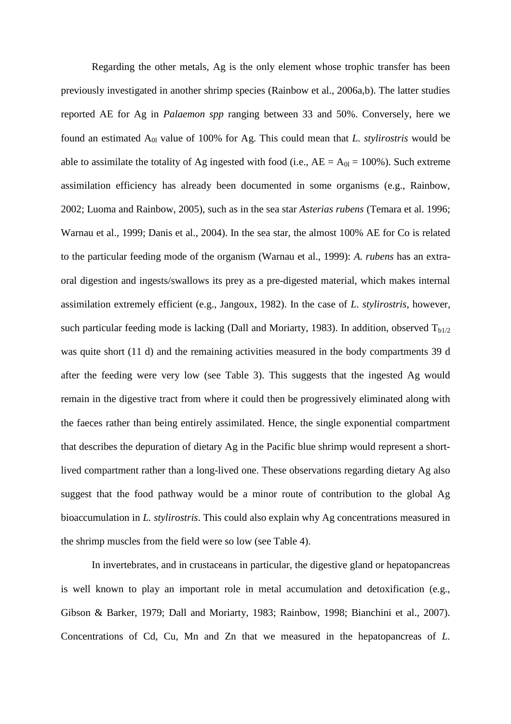Regarding the other metals, Ag is the only element whose trophic transfer has been previously investigated in another shrimp species (Rainbow et al., 2006a,b). The latter studies reported AE for Ag in *Palaemon spp* ranging between 33 and 50%. Conversely, here we found an estimated A0l value of 100% for Ag. This could mean that *L. stylirostris* would be able to assimilate the totality of Ag ingested with food (i.e.,  $AE = A_{0l} = 100\%$ ). Such extreme assimilation efficiency has already been documented in some organisms (e.g., Rainbow, 2002; Luoma and Rainbow, 2005), such as in the sea star *Asterias rubens* (Temara et al. 1996; Warnau et al., 1999; Danis et al., 2004). In the sea star, the almost 100% AE for Co is related to the particular feeding mode of the organism (Warnau et al., 1999): *A. rubens* has an extraoral digestion and ingests/swallows its prey as a pre-digested material, which makes internal assimilation extremely efficient (e.g., Jangoux, 1982). In the case of *L. stylirostris*, however, such particular feeding mode is lacking (Dall and Moriarty, 1983). In addition, observed  $T_{b1/2}$ was quite short (11 d) and the remaining activities measured in the body compartments 39 d after the feeding were very low (see Table 3). This suggests that the ingested Ag would remain in the digestive tract from where it could then be progressively eliminated along with the faeces rather than being entirely assimilated. Hence, the single exponential compartment that describes the depuration of dietary Ag in the Pacific blue shrimp would represent a shortlived compartment rather than a long-lived one. These observations regarding dietary Ag also suggest that the food pathway would be a minor route of contribution to the global Ag bioaccumulation in *L. stylirostris*. This could also explain why Ag concentrations measured in the shrimp muscles from the field were so low (see Table 4).

In invertebrates, and in crustaceans in particular, the digestive gland or hepatopancreas is well known to play an important role in metal accumulation and detoxification (e.g., Gibson & Barker, 1979; Dall and Moriarty, 1983; Rainbow, 1998; Bianchini et al., 2007). Concentrations of Cd, Cu, Mn and Zn that we measured in the hepatopancreas of *L.*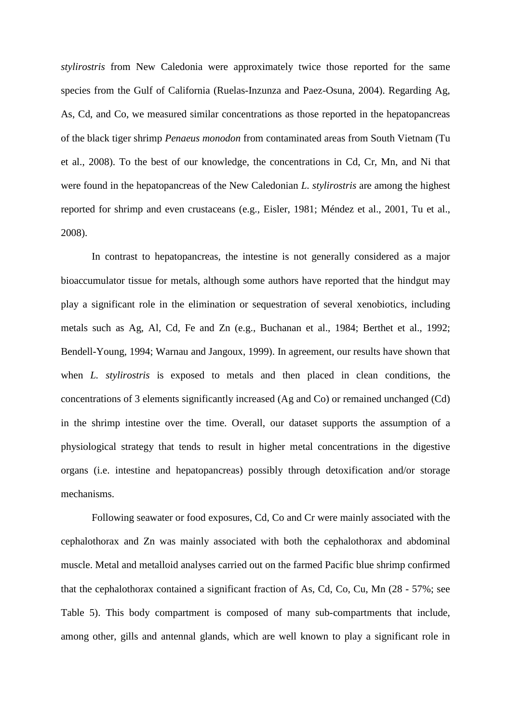*stylirostris* from New Caledonia were approximately twice those reported for the same species from the Gulf of California (Ruelas-Inzunza and Paez-Osuna, 2004). Regarding Ag, As, Cd, and Co, we measured similar concentrations as those reported in the hepatopancreas of the black tiger shrimp *Penaeus monodon* from contaminated areas from South Vietnam (Tu et al., 2008). To the best of our knowledge, the concentrations in Cd, Cr, Mn, and Ni that were found in the hepatopancreas of the New Caledonian *L. stylirostris* are among the highest reported for shrimp and even crustaceans (e.g., Eisler, 1981; Méndez et al., 2001, Tu et al., 2008).

In contrast to hepatopancreas, the intestine is not generally considered as a major bioaccumulator tissue for metals, although some authors have reported that the hindgut may play a significant role in the elimination or sequestration of several xenobiotics, including metals such as Ag, Al, Cd, Fe and Zn (e.g., Buchanan et al., 1984; Berthet et al., 1992; Bendell-Young, 1994; Warnau and Jangoux, 1999). In agreement, our results have shown that when *L. stylirostris* is exposed to metals and then placed in clean conditions, the concentrations of 3 elements significantly increased (Ag and Co) or remained unchanged (Cd) in the shrimp intestine over the time. Overall, our dataset supports the assumption of a physiological strategy that tends to result in higher metal concentrations in the digestive organs (i.e. intestine and hepatopancreas) possibly through detoxification and/or storage mechanisms.

Following seawater or food exposures, Cd, Co and Cr were mainly associated with the cephalothorax and Zn was mainly associated with both the cephalothorax and abdominal muscle. Metal and metalloid analyses carried out on the farmed Pacific blue shrimp confirmed that the cephalothorax contained a significant fraction of As, Cd, Co, Cu, Mn (28 - 57%; see Table 5). This body compartment is composed of many sub-compartments that include, among other, gills and antennal glands, which are well known to play a significant role in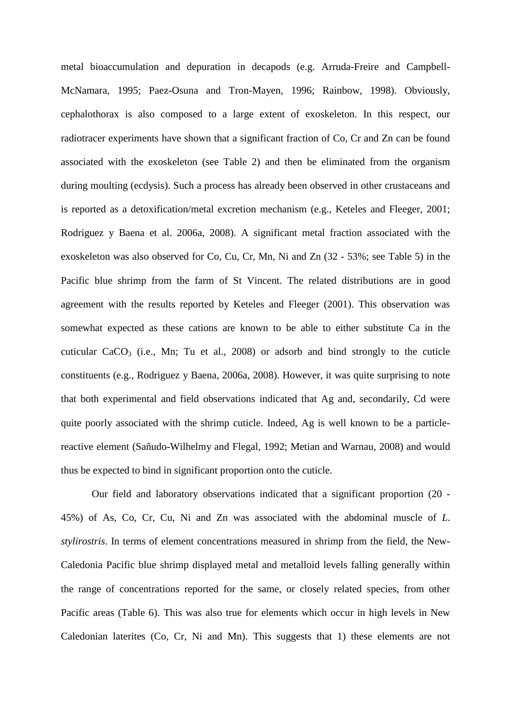metal bioaccumulation and depuration in decapods (e.g. Arruda-Freire and Campbell-McNamara, 1995; Paez-Osuna and Tron-Mayen, 1996; Rainbow, 1998). Obviously, cephalothorax is also composed to a large extent of exoskeleton. In this respect, our radiotracer experiments have shown that a significant fraction of Co, Cr and Zn can be found associated with the exoskeleton (see Table 2) and then be eliminated from the organism during moulting (ecdysis). Such a process has already been observed in other crustaceans and is reported as a detoxification/metal excretion mechanism (e.g., Keteles and Fleeger, 2001; Rodriguez y Baena et al. 2006a, 2008). A significant metal fraction associated with the exoskeleton was also observed for Co, Cu, Cr, Mn, Ni and Zn (32 - 53%; see Table 5) in the Pacific blue shrimp from the farm of St Vincent. The related distributions are in good agreement with the results reported by Keteles and Fleeger (2001). This observation was somewhat expected as these cations are known to be able to either substitute Ca in the cuticular  $CaCO<sub>3</sub>$  (i.e., Mn; Tu et al., 2008) or adsorb and bind strongly to the cuticle constituents (e.g., Rodriguez y Baena, 2006a, 2008). However, it was quite surprising to note that both experimental and field observations indicated that Ag and, secondarily, Cd were quite poorly associated with the shrimp cuticle. Indeed, Ag is well known to be a particlereactive element (Sañudo-Wilhelmy and Flegal, 1992; Metian and Warnau, 2008) and would thus be expected to bind in significant proportion onto the cuticle.

Our field and laboratory observations indicated that a significant proportion (20 - 45%) of As, Co, Cr, Cu, Ni and Zn was associated with the abdominal muscle of *L. stylirostris*. In terms of element concentrations measured in shrimp from the field, the New-Caledonia Pacific blue shrimp displayed metal and metalloid levels falling generally within the range of concentrations reported for the same, or closely related species, from other Pacific areas (Table 6). This was also true for elements which occur in high levels in New Caledonian laterites (Co, Cr, Ni and Mn). This suggests that 1) these elements are not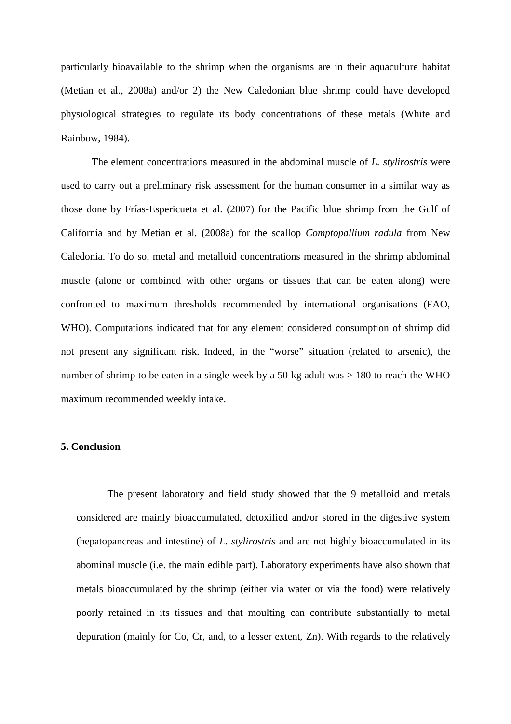particularly bioavailable to the shrimp when the organisms are in their aquaculture habitat (Metian et al., 2008a) and/or 2) the New Caledonian blue shrimp could have developed physiological strategies to regulate its body concentrations of these metals (White and Rainbow, 1984).

The element concentrations measured in the abdominal muscle of *L. stylirostris* were used to carry out a preliminary risk assessment for the human consumer in a similar way as those done by Frías-Espericueta et al. (2007) for the Pacific blue shrimp from the Gulf of California and by Metian et al. (2008a) for the scallop *Comptopallium radula* from New Caledonia. To do so, metal and metalloid concentrations measured in the shrimp abdominal muscle (alone or combined with other organs or tissues that can be eaten along) were confronted to maximum thresholds recommended by international organisations (FAO, WHO). Computations indicated that for any element considered consumption of shrimp did not present any significant risk. Indeed, in the "worse" situation (related to arsenic), the number of shrimp to be eaten in a single week by a 50-kg adult was > 180 to reach the WHO maximum recommended weekly intake.

## **5. Conclusion**

The present laboratory and field study showed that the 9 metalloid and metals considered are mainly bioaccumulated, detoxified and/or stored in the digestive system (hepatopancreas and intestine) of *L. stylirostris* and are not highly bioaccumulated in its abominal muscle (i.e. the main edible part). Laboratory experiments have also shown that metals bioaccumulated by the shrimp (either via water or via the food) were relatively poorly retained in its tissues and that moulting can contribute substantially to metal depuration (mainly for Co, Cr, and, to a lesser extent, Zn). With regards to the relatively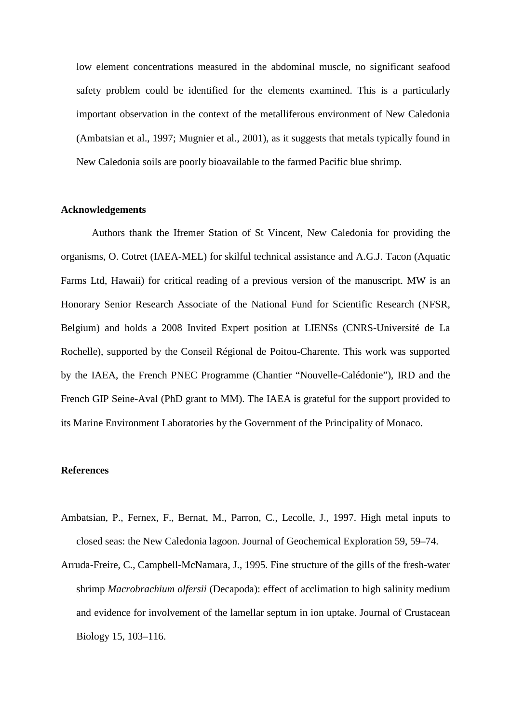low element concentrations measured in the abdominal muscle, no significant seafood safety problem could be identified for the elements examined. This is a particularly important observation in the context of the metalliferous environment of New Caledonia (Ambatsian et al., 1997; Mugnier et al., 2001), as it suggests that metals typically found in New Caledonia soils are poorly bioavailable to the farmed Pacific blue shrimp.

## **Acknowledgements**

Authors thank the Ifremer Station of St Vincent, New Caledonia for providing the organisms, O. Cotret (IAEA-MEL) for skilful technical assistance and A.G.J. Tacon (Aquatic Farms Ltd, Hawaii) for critical reading of a previous version of the manuscript. MW is an Honorary Senior Research Associate of the National Fund for Scientific Research (NFSR, Belgium) and holds a 2008 Invited Expert position at LIENSs (CNRS-Université de La Rochelle), supported by the Conseil Régional de Poitou-Charente. This work was supported by the IAEA, the French PNEC Programme (Chantier "Nouvelle-Calédonie"), IRD and the French GIP Seine-Aval (PhD grant to MM). The IAEA is grateful for the support provided to its Marine Environment Laboratories by the Government of the Principality of Monaco.

### **References**

- Ambatsian, P., Fernex, F., Bernat, M., Parron, C., Lecolle, J., 1997. High metal inputs to closed seas: the New Caledonia lagoon. Journal of Geochemical Exploration 59, 59–74.
- Arruda-Freire, C., Campbell-McNamara, J., 1995. Fine structure of the gills of the fresh-water shrimp *Macrobrachium olfersii* (Decapoda): effect of acclimation to high salinity medium and evidence for involvement of the lamellar septum in ion uptake. Journal of Crustacean Biology 15, 103–116.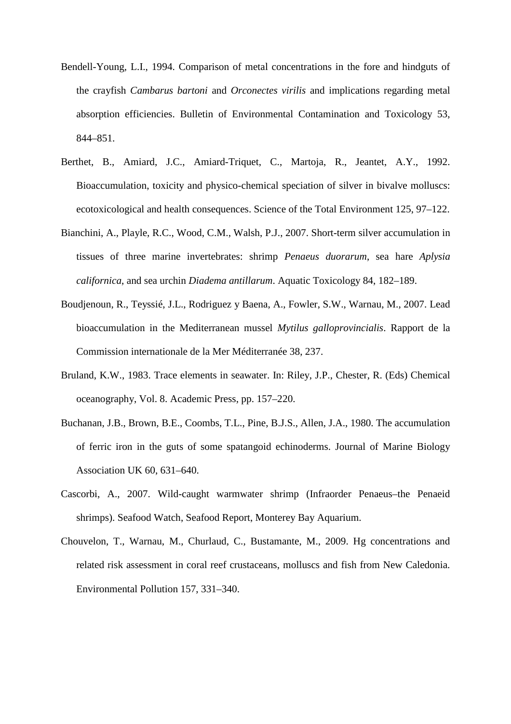- Bendell-Young, L.I., 1994. Comparison of metal concentrations in the fore and hindguts of the crayfish *Cambarus bartoni* and *Orconectes virilis* and implications regarding metal absorption efficiencies. Bulletin of Environmental Contamination and Toxicology 53, 844–851.
- Berthet, B., Amiard, J.C., Amiard-Triquet, C., Martoja, R., Jeantet, A.Y., 1992. Bioaccumulation, toxicity and physico-chemical speciation of silver in bivalve molluscs: ecotoxicological and health consequences. Science of the Total Environment 125, 97–122.
- Bianchini, A., Playle, R.C., Wood, C.M., Walsh, P.J., 2007. Short-term silver accumulation in tissues of three marine invertebrates: shrimp *Penaeus duorarum*, sea hare *Aplysia californica*, and sea urchin *Diadema antillarum*. Aquatic Toxicology 84, 182–189.
- Boudjenoun, R., Teyssié, J.L., Rodriguez y Baena, A., Fowler, S.W., Warnau, M., 2007. Lead bioaccumulation in the Mediterranean mussel *Mytilus galloprovincialis*. Rapport de la Commission internationale de la Mer Méditerranée 38, 237.
- Bruland, K.W., 1983. Trace elements in seawater. In: Riley, J.P., Chester, R. (Eds) Chemical oceanography, Vol. 8. Academic Press, pp. 157–220.
- Buchanan, J.B., Brown, B.E., Coombs, T.L., Pine, B.J.S., Allen, J.A., 1980. The accumulation of ferric iron in the guts of some spatangoid echinoderms. Journal of Marine Biology Association UK 60, 631–640.
- Cascorbi, A., 2007. Wild-caught warmwater shrimp (Infraorder Penaeus–the Penaeid shrimps). Seafood Watch, Seafood Report, Monterey Bay Aquarium.
- Chouvelon, T., Warnau, M., Churlaud, C., Bustamante, M., 2009. Hg concentrations and related risk assessment in coral reef crustaceans, molluscs and fish from New Caledonia. Environmental Pollution 157, 331–340.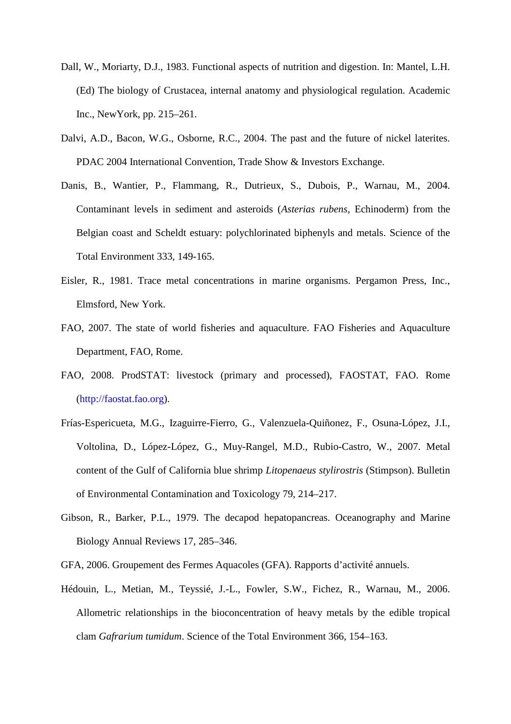- Dall, W., Moriarty, D.J., 1983. Functional aspects of nutrition and digestion. In: Mantel, L.H. (Ed) The biology of Crustacea, internal anatomy and physiological regulation. Academic Inc., NewYork, pp. 215–261.
- Dalvi, A.D., Bacon, W.G., Osborne, R.C., 2004. The past and the future of nickel laterites. PDAC 2004 International Convention, Trade Show & Investors Exchange.
- Danis, B., Wantier, P., Flammang, R., Dutrieux, S., Dubois, P., Warnau, M., 2004. Contaminant levels in sediment and asteroids (*Asterias rubens*, Echinoderm) from the Belgian coast and Scheldt estuary: polychlorinated biphenyls and metals. Science of the Total Environment 333, 149-165.
- Eisler, R., 1981. Trace metal concentrations in marine organisms. Pergamon Press, Inc., Elmsford, New York.
- FAO, 2007. The state of world fisheries and aquaculture. FAO Fisheries and Aquaculture Department, FAO, Rome.
- FAO, 2008. ProdSTAT: livestock (primary and processed), FAOSTAT, FAO. Rome (http://faostat.fao.org).
- Frías-Espericueta, M.G., Izaguirre-Fierro, G., Valenzuela-Quiñonez, F., Osuna-López, J.I., Voltolina, D., López-López, G., Muy-Rangel, M.D., Rubio-Castro, W., 2007. Metal content of the Gulf of California blue shrimp *Litopenaeus stylirostris* (Stimpson). Bulletin of Environmental Contamination and Toxicology 79, 214–217.
- Gibson, R., Barker, P.L., 1979. The decapod hepatopancreas. Oceanography and Marine Biology Annual Reviews 17, 285–346.
- GFA, 2006. Groupement des Fermes Aquacoles (GFA). Rapports d'activité annuels.
- Hédouin, L., Metian, M., Teyssié, J.-L., Fowler, S.W., Fichez, R., Warnau, M., 2006. Allometric relationships in the bioconcentration of heavy metals by the edible tropical clam *Gafrarium tumidum*. Science of the Total Environment 366, 154–163.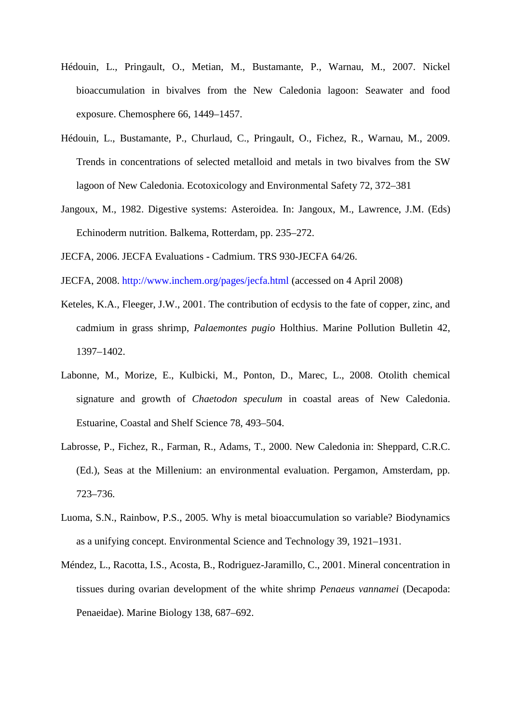- Hédouin, L., Pringault, O., Metian, M., Bustamante, P., Warnau, M., 2007. Nickel bioaccumulation in bivalves from the New Caledonia lagoon: Seawater and food exposure. Chemosphere 66, 1449–1457.
- Hédouin, L., Bustamante, P., Churlaud, C., Pringault, O., Fichez, R., Warnau, M., 2009. Trends in concentrations of selected metalloid and metals in two bivalves from the SW lagoon of New Caledonia. Ecotoxicology and Environmental Safety 72, 372–381
- Jangoux, M., 1982. Digestive systems: Asteroidea. In: Jangoux, M., Lawrence, J.M. (Eds) Echinoderm nutrition. Balkema, Rotterdam, pp. 235–272.

JECFA, 2006. JECFA Evaluations - Cadmium. TRS 930-JECFA 64/26.

- JECFA, 2008. http://www.inchem.org/pages/jecfa.html (accessed on 4 April 2008)
- Keteles, K.A., Fleeger, J.W., 2001. The contribution of ecdysis to the fate of copper, zinc, and cadmium in grass shrimp, *Palaemontes pugio* Holthius. Marine Pollution Bulletin 42, 1397–1402.
- Labonne, M., Morize, E., Kulbicki, M., Ponton, D., Marec, L., 2008. Otolith chemical signature and growth of *Chaetodon speculum* in coastal areas of New Caledonia. Estuarine, Coastal and Shelf Science 78, 493–504.
- Labrosse, P., Fichez, R., Farman, R., Adams, T., 2000. New Caledonia in: Sheppard, C.R.C. (Ed.), Seas at the Millenium: an environmental evaluation. Pergamon, Amsterdam, pp. 723–736.
- Luoma, S.N., Rainbow, P.S., 2005. Why is metal bioaccumulation so variable? Biodynamics as a unifying concept. Environmental Science and Technology 39, 1921–1931.
- Méndez, L., Racotta, I.S., Acosta, B., Rodriguez-Jaramillo, C., 2001. Mineral concentration in tissues during ovarian development of the white shrimp *Penaeus vannamei* (Decapoda: Penaeidae). Marine Biology 138, 687–692.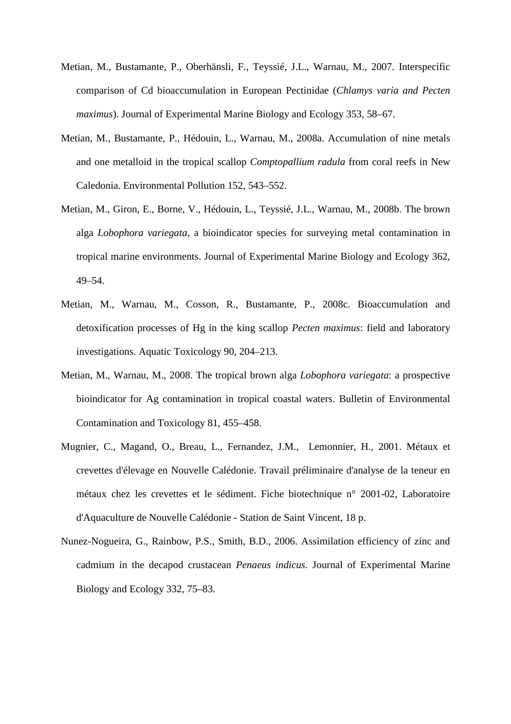- Metian, M., Bustamante, P., Oberhänsli, F., Teyssié, J.L., Warnau, M., 2007. Interspecific comparison of Cd bioaccumulation in European Pectinidae (*Chlamys varia and Pecten maximus*). Journal of Experimental Marine Biology and Ecology 353, 58–67.
- Metian, M., Bustamante, P., Hédouin, L., Warnau, M., 2008a. Accumulation of nine metals and one metalloid in the tropical scallop *Comptopallium radula* from coral reefs in New Caledonia. Environmental Pollution 152, 543–552.
- Metian, M., Giron, E., Borne, V., Hédouin, L., Teyssié, J.L., Warnau, M., 2008b. The brown alga *Lobophora variegata*, a bioindicator species for surveying metal contamination in tropical marine environments. Journal of Experimental Marine Biology and Ecology 362, 49–54.
- Metian, M., Warnau, M., Cosson, R., Bustamante, P., 2008c. Bioaccumulation and detoxification processes of Hg in the king scallop *Pecten maximus*: field and laboratory investigations. Aquatic Toxicology 90, 204–213.
- Metian, M., Warnau, M., 2008. The tropical brown alga *Lobophora variegata*: a prospective bioindicator for Ag contamination in tropical coastal waters. Bulletin of Environmental Contamination and Toxicology 81, 455–458.
- Mugnier, C., Magand, O., Breau, L., Fernandez, J.M., Lemonnier, H., 2001. Métaux et crevettes d'élevage en Nouvelle Calédonie. Travail préliminaire d'analyse de la teneur en métaux chez les crevettes et le sédiment. Fiche biotechnique n° 2001-02, Laboratoire d'Aquaculture de Nouvelle Calédonie - Station de Saint Vincent, 18 p.
- Nunez-Nogueira, G., Rainbow, P.S., Smith, B.D., 2006. Assimilation efficiency of zinc and cadmium in the decapod crustacean *Penaeus indicus.* Journal of Experimental Marine Biology and Ecology 332, 75–83.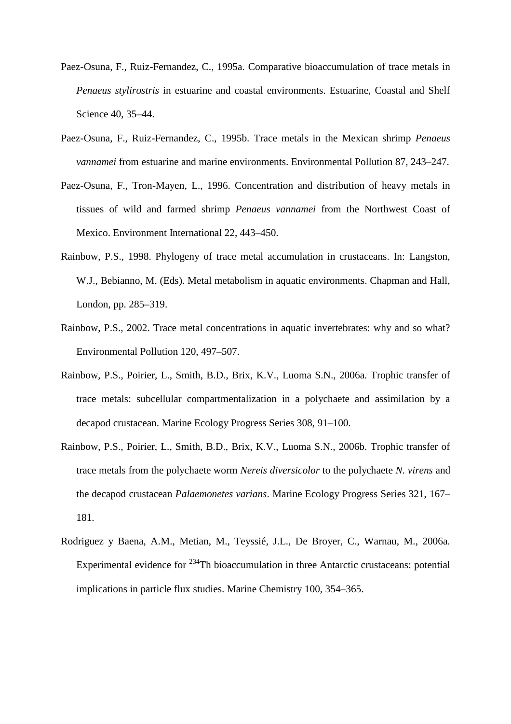- Paez-Osuna, F., Ruiz-Fernandez, C., 1995a. Comparative bioaccumulation of trace metals in *Penaeus stylirostris* in estuarine and coastal environments. Estuarine, Coastal and Shelf Science 40, 35–44.
- Paez-Osuna, F., Ruiz-Fernandez, C., 1995b. Trace metals in the Mexican shrimp *Penaeus vannamei* from estuarine and marine environments. Environmental Pollution 87, 243–247.
- Paez-Osuna, F., Tron-Mayen, L., 1996. Concentration and distribution of heavy metals in tissues of wild and farmed shrimp *Penaeus vannamei* from the Northwest Coast of Mexico. Environment International 22, 443–450.
- Rainbow, P.S., 1998. Phylogeny of trace metal accumulation in crustaceans. In: Langston, W.J., Bebianno, M. (Eds). Metal metabolism in aquatic environments. Chapman and Hall, London, pp. 285–319.
- Rainbow, P.S., 2002. Trace metal concentrations in aquatic invertebrates: why and so what? Environmental Pollution 120, 497–507.
- Rainbow, P.S., Poirier, L., Smith, B.D., Brix, K.V., Luoma S.N., 2006a. Trophic transfer of trace metals: subcellular compartmentalization in a polychaete and assimilation by a decapod crustacean. Marine Ecology Progress Series 308, 91–100.
- Rainbow, P.S., Poirier, L., Smith, B.D., Brix, K.V., Luoma S.N., 2006b. Trophic transfer of trace metals from the polychaete worm *Nereis diversicolor* to the polychaete *N. virens* and the decapod crustacean *Palaemonetes varians*. Marine Ecology Progress Series 321, 167– 181.
- Rodriguez y Baena, A.M., Metian, M., Teyssié, J.L., De Broyer, C., Warnau, M., 2006a. Experimental evidence for <sup>234</sup>Th bioaccumulation in three Antarctic crustaceans: potential implications in particle flux studies. Marine Chemistry 100, 354–365.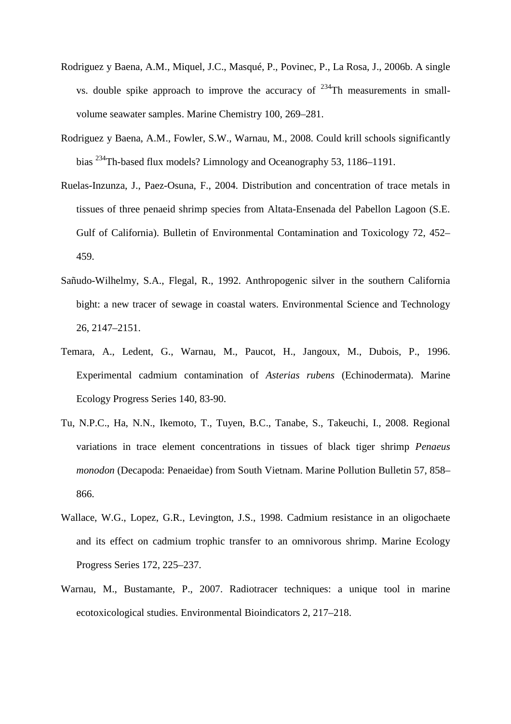- Rodriguez y Baena, A.M., Miquel, J.C., Masqué, P., Povinec, P., La Rosa, J., 2006b. A single vs. double spike approach to improve the accuracy of  $234$ Th measurements in smallvolume seawater samples. Marine Chemistry 100, 269–281.
- Rodriguez y Baena, A.M., Fowler, S.W., Warnau, M., 2008. Could krill schools significantly bias <sup>234</sup>Th-based flux models? Limnology and Oceanography 53, 1186–1191.
- Ruelas-Inzunza, J., Paez-Osuna, F., 2004. Distribution and concentration of trace metals in tissues of three penaeid shrimp species from Altata-Ensenada del Pabellon Lagoon (S.E. Gulf of California). Bulletin of Environmental Contamination and Toxicology 72, 452– 459.
- Sañudo-Wilhelmy, S.A., Flegal, R., 1992. Anthropogenic silver in the southern California bight: a new tracer of sewage in coastal waters. Environmental Science and Technology 26, 2147–2151.
- Temara, A., Ledent, G., Warnau, M., Paucot, H., Jangoux, M., Dubois, P., 1996. Experimental cadmium contamination of *Asterias rubens* (Echinodermata). Marine Ecology Progress Series 140, 83-90.
- Tu, N.P.C., Ha, N.N., Ikemoto, T., Tuyen, B.C., Tanabe, S., Takeuchi, I., 2008. Regional variations in trace element concentrations in tissues of black tiger shrimp *Penaeus monodon* (Decapoda: Penaeidae) from South Vietnam. Marine Pollution Bulletin 57, 858– 866.
- Wallace, W.G., Lopez, G.R., Levington, J.S., 1998. Cadmium resistance in an oligochaete and its effect on cadmium trophic transfer to an omnivorous shrimp. Marine Ecology Progress Series 172, 225–237.
- Warnau, M., Bustamante, P., 2007. Radiotracer techniques: a unique tool in marine ecotoxicological studies. Environmental Bioindicators 2, 217–218.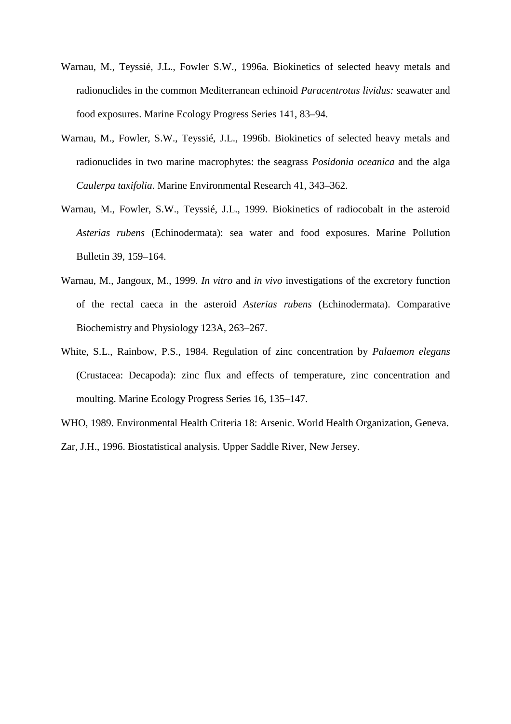- Warnau, M., Teyssié, J.L., Fowler S.W., 1996a. Biokinetics of selected heavy metals and radionuclides in the common Mediterranean echinoid *Paracentrotus lividus:* seawater and food exposures. Marine Ecology Progress Series 141, 83–94.
- Warnau, M., Fowler, S.W., Teyssié, J.L., 1996b. Biokinetics of selected heavy metals and radionuclides in two marine macrophytes: the seagrass *Posidonia oceanica* and the alga *Caulerpa taxifolia*. Marine Environmental Research 41, 343–362.
- Warnau, M., Fowler, S.W., Teyssié, J.L., 1999. Biokinetics of radiocobalt in the asteroid *Asterias rubens* (Echinodermata): sea water and food exposures. Marine Pollution Bulletin 39, 159–164.
- Warnau, M., Jangoux, M., 1999. *In vitro* and *in vivo* investigations of the excretory function of the rectal caeca in the asteroid *Asterias rubens* (Echinodermata). Comparative Biochemistry and Physiology 123A, 263–267.
- White, S.L., Rainbow, P.S., 1984. Regulation of zinc concentration by *Palaemon elegans* (Crustacea: Decapoda): zinc flux and effects of temperature, zinc concentration and moulting. Marine Ecology Progress Series 16, 135–147.
- WHO, 1989. Environmental Health Criteria 18: Arsenic. World Health Organization, Geneva.

Zar, J.H., 1996. Biostatistical analysis. Upper Saddle River, New Jersey.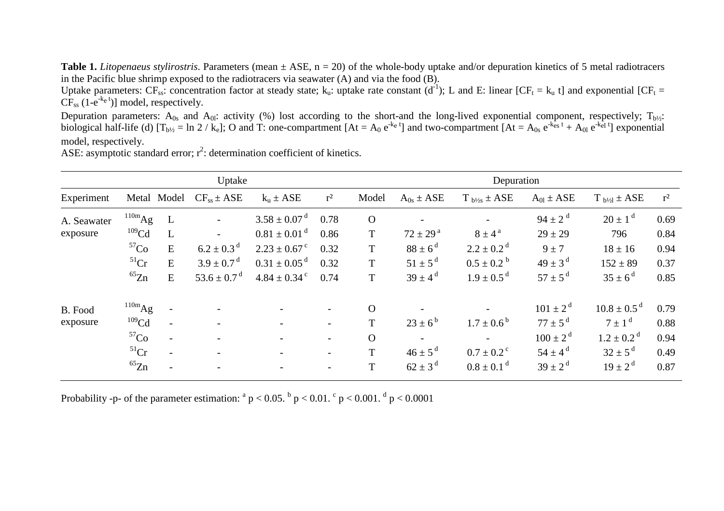**Table 1.** *Litopenaeus stylirostris*. Parameters (mean ± ASE, n = 20) of the whole-body uptake and/or depuration kinetics of 5 metal radiotracers in the Pacific blue shrimp exposed to the radiotracers via seawater (A) and via the food (B).

Uptake parameters: CF<sub>ss</sub>: concentration factor at steady state; k<sub>u</sub>: uptake rate constant (d<sup>-1</sup>); L and E: linear [CF<sub>t</sub> = k<sub>u</sub> t] and exponential [CF<sub>t</sub> =  $CF_{ss}$  (1-e<sup>-k<sub>e</sub> t</sup>)] model, respectively.

Depuration parameters:  $A_{0s}$  and  $A_{0l}$ : activity (%) lost according to the short-and the long-lived exponential component, respectively;  $T_{b/2}$ : biological half-life (d)  $[T_{b\frac{1}{2}} = \ln 2 / k_e]$ ; O and T: one-compartment  $[At = A_0 e^{k_e t}]$  and two-compartment  $[At = A_0 e^{k_e t} + A_0 e^{k_e t}]$  exponential model, respectively.

|             |                    |                          | Uptake                      |                              |                          | Depuration     |                          |                            |                    |                             |       |  |  |
|-------------|--------------------|--------------------------|-----------------------------|------------------------------|--------------------------|----------------|--------------------------|----------------------------|--------------------|-----------------------------|-------|--|--|
| Experiment  |                    | Metal Model              | $CF_{ss} \pm ASE$           | $k_u \pm ASE$                | $r^2$                    | Model          | $A_{0s} \pm ASE$         | $T_{b\frac{1}{2}s}$ ± ASE  | $A_{01} \pm ASE$   | $T_{b/2}$ ± ASE             | $r^2$ |  |  |
| A. Seawater | $^{110m}Ag$        | L                        | $\overline{\phantom{a}}$    | $3.58 \pm 0.07$ <sup>d</sup> | 0.78                     | $\overline{O}$ |                          |                            | $94 \pm 2^{d}$     | $20 \pm 1^{\rm d}$          | 0.69  |  |  |
| exposure    | 109 <sub>Cd</sub>  |                          | $\overline{\phantom{0}}$    | $0.81 \pm 0.01$ <sup>d</sup> | 0.86                     | $\mathbf T$    | $72 \pm 29^{\text{a}}$   | $8 \pm 4^{\circ}$          | $29 \pm 29$        | 796                         | 0.84  |  |  |
|             | ${}^{57}Co$        | E                        | $6.2 \pm 0.3$ <sup>d</sup>  | $2.23 \pm 0.67$ <sup>c</sup> | 0.32                     | $\mathbf T$    | $88 \pm 6^{\rm d}$       | $2.2 \pm 0.2$ <sup>d</sup> | $9 \pm 7$          | $18 \pm 16$                 | 0.94  |  |  |
|             | $^{51}Cr$          | E                        | $3.9 \pm 0.7$ <sup>d</sup>  | $0.31 \pm 0.05$ <sup>d</sup> | 0.32                     | $\mathbf T$    | $51 \pm 5^{\rm d}$       | $0.5 \pm 0.2^{\circ}$      | $49 \pm 3^{\rm d}$ | $152 \pm 89$                | 0.37  |  |  |
|             | ${}^{65}Zn$        | E                        | 53.6 $\pm$ 0.7 <sup>d</sup> | $4.84 \pm 0.34$ <sup>c</sup> | 0.74                     | $\mathbf T$    | $39 \pm 4^{\rm d}$       | $1.9 \pm 0.5$ <sup>d</sup> | $57 \pm 5^{\rm d}$ | $35 \pm 6^{\rm d}$          | 0.85  |  |  |
| B. Food     | $^{110m}\text{Ag}$ | $\overline{\phantom{a}}$ | $\overline{\phantom{0}}$    |                              | $\overline{\phantom{a}}$ | $\Omega$       |                          |                            | $101 \pm 2^d$      | $10.8 \pm 0.5$ <sup>d</sup> | 0.79  |  |  |
| exposure    | 109 <sub>Cd</sub>  | $\blacksquare$           | $\overline{\phantom{a}}$    |                              | $\overline{\phantom{a}}$ | T              | $23 \pm 6^{\rm b}$       | $1.7 \pm 0.6^{\circ}$      | $77 \pm 5^{\rm d}$ | $7 \pm 1$ <sup>d</sup>      | 0.88  |  |  |
|             | ${}^{57}Co$        | $\overline{\phantom{a}}$ | $\overline{\phantom{a}}$    |                              | $\overline{\phantom{a}}$ | $\Omega$       | $\overline{\phantom{a}}$ |                            | $100 \pm 2^{d}$    | $1.2 \pm 0.2$ <sup>d</sup>  | 0.94  |  |  |
|             | $51$ Cr            | $\overline{\phantom{a}}$ | $\overline{\phantom{a}}$    |                              | $\overline{\phantom{a}}$ | T              | $46 \pm 5^{\rm d}$       | $0.7 \pm 0.2$ <sup>c</sup> | $54 \pm 4^{\rm d}$ | $32 \pm 5^{\rm d}$          | 0.49  |  |  |
|             | ${}^{65}Zn$        |                          |                             |                              |                          | $\mathbf T$    | $62 \pm 3^{\rm d}$       | $0.8 \pm 0.1$ <sup>d</sup> | $39 \pm 2^{d}$     | $19 \pm 2^{d}$              | 0.87  |  |  |
|             |                    |                          |                             |                              |                          |                |                          |                            |                    |                             |       |  |  |

ASE: asymptotic standard error;  $r^2$ : determination coefficient of kinetics.

Probability -p- of the parameter estimation:  $a^p$  p < 0.05.  $b^p$  p < 0.01.  $c^p$  p < 0.001.  $d^p$  p < 0.0001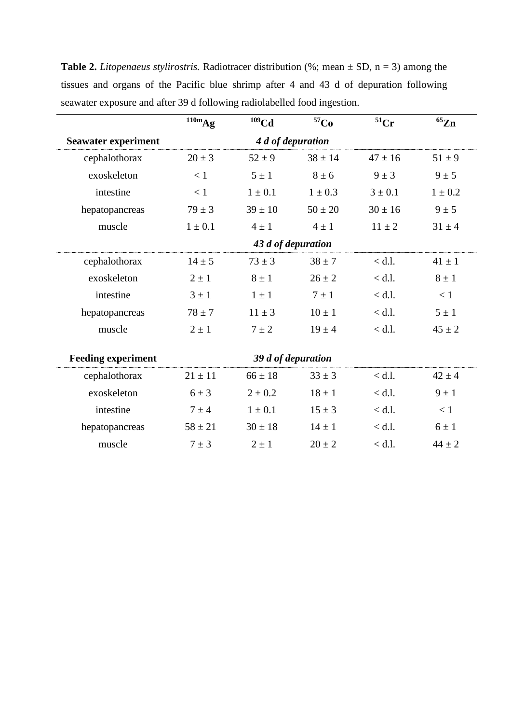**Table 2.** *Litopenaeus stylirostris.* Radiotracer distribution (%; mean  $\pm$  SD, n = 3) among the tissues and organs of the Pacific blue shrimp after 4 and 43 d of depuration following seawater exposure and after 39 d following radiolabelled food ingestion.

|                            | $^{110m}Ag$ | $109$ Cd           | 57 <sub>Co</sub> | $51$ Cr     | ${}^{65}Zn$ |
|----------------------------|-------------|--------------------|------------------|-------------|-------------|
| <b>Seawater experiment</b> |             | 4 d of depuration  |                  |             |             |
| cephalothorax              | $20 \pm 3$  | $52 \pm 9$         | $38 \pm 14$      | $47 \pm 16$ | $51 \pm 9$  |
| exoskeleton                | < 1         | $5 \pm 1$          | $8 \pm 6$        | $9 \pm 3$   | $9 \pm 5$   |
| intestine                  | < 1         | $1 \pm 0.1$        | $1 \pm 0.3$      | $3 \pm 0.1$ | $1 \pm 0.2$ |
| hepatopancreas             | $79 \pm 3$  | $39 \pm 10$        | $50 \pm 20$      | $30 \pm 16$ | $9 \pm 5$   |
| muscle                     | $1 \pm 0.1$ | $4 \pm 1$          | $4 \pm 1$        | $11 \pm 2$  | $31 \pm 4$  |
|                            |             | 43 d of depuration |                  |             |             |
| cephalothorax              | $14 \pm 5$  | $73 \pm 3$         | $38 \pm 7$       | $<$ d.l.    | $41 \pm 1$  |
| exoskeleton                | $2 \pm 1$   | $8 \pm 1$          | $26 \pm 2$       | $<$ d.l.    | $8 \pm 1$   |
| intestine                  | $3 \pm 1$   | $1 \pm 1$          | $7 \pm 1$        | $<$ d.l.    | < 1         |
| hepatopancreas             | $78 \pm 7$  | $11 \pm 3$         | $10 \pm 1$       | $<$ d.l.    | $5 \pm 1$   |
| muscle                     | $2 \pm 1$   | $7 \pm 2$          | $19 \pm 4$       | $<$ d.l.    | $45 \pm 2$  |
|                            |             |                    |                  |             |             |
| <b>Feeding experiment</b>  |             | 39 d of depuration |                  |             |             |
| cephalothorax              | $21 \pm 11$ | $66 \pm 18$        | $33 \pm 3$       | $<$ d.l.    | $42 \pm 4$  |
| exoskeleton                | $6 \pm 3$   | $2\pm0.2$          | $18 \pm 1$       | $<$ d.l.    | $9 \pm 1$   |
| intestine                  | $7 \pm 4$   | $1 \pm 0.1$        | $15 \pm 3$       | $<$ d.l.    | < 1         |
| hepatopancreas             | $58 \pm 21$ | $30 \pm 18$        | $14 \pm 1$       | $<$ d.l.    | $6 \pm 1$   |
| muscle                     | $7 \pm 3$   | $2 \pm 1$          | $20 \pm 2$       | $<$ d.l.    | $44 \pm 2$  |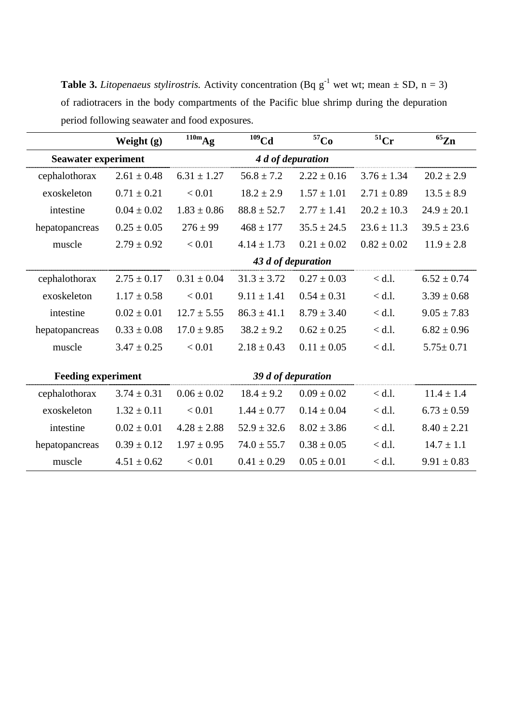**Table 3.** *Litopenaeus stylirostris.* Activity concentration (Bq  $g^{-1}$  wet wt; mean  $\pm$  SD, n = 3) of radiotracers in the body compartments of the Pacific blue shrimp during the depuration period following seawater and food exposures.

|                            | Weight $(g)$    | $\overline{^{110m}}Ag$ | $109$ Cd        | 57 <sub>Co</sub>   | $51$ Cr         | $65$ Zn         |
|----------------------------|-----------------|------------------------|-----------------|--------------------|-----------------|-----------------|
| <b>Seawater experiment</b> |                 |                        |                 |                    |                 |                 |
| cephalothorax              | $2.61 \pm 0.48$ | $6.31 \pm 1.27$        | $56.8 \pm 7.2$  | $2.22 \pm 0.16$    | $3.76 \pm 1.34$ | $20.2 \pm 2.9$  |
| exoskeleton                | $0.71 \pm 0.21$ | < 0.01                 | $18.2 \pm 2.9$  | $1.57 \pm 1.01$    | $2.71 \pm 0.89$ | $13.5 \pm 8.9$  |
| intestine                  | $0.04 \pm 0.02$ | $1.83 \pm 0.86$        | $88.8 \pm 52.7$ | $2.77 \pm 1.41$    | $20.2 \pm 10.3$ | $24.9 \pm 20.1$ |
| hepatopancreas             | $0.25 \pm 0.05$ | $276 \pm 99$           | $468 \pm 177$   | $35.5 \pm 24.5$    | $23.6 \pm 11.3$ | $39.5 \pm 23.6$ |
| muscle                     | $2.79 \pm 0.92$ | < 0.01                 | $4.14 \pm 1.73$ | $0.21 \pm 0.02$    | $0.82 \pm 0.02$ | $11.9 \pm 2.8$  |
|                            |                 |                        |                 | 43 d of depuration |                 |                 |
| cephalothorax              | $2.75 \pm 0.17$ | $0.31 \pm 0.04$        | $31.3 \pm 3.72$ | $0.27 \pm 0.03$    | $<$ d.l.        | $6.52 \pm 0.74$ |
| exoskeleton                | $1.17 \pm 0.58$ | < 0.01                 | $9.11 \pm 1.41$ | $0.54 \pm 0.31$    | $<$ d.l.        | $3.39 \pm 0.68$ |
| intestine                  | $0.02 \pm 0.01$ | $12.7 \pm 5.55$        | $86.3 \pm 41.1$ | $8.79 \pm 3.40$    | $<$ d.l.        | $9.05 \pm 7.83$ |
| hepatopancreas             | $0.33 \pm 0.08$ | $17.0 \pm 9.85$        | $38.2 \pm 9.2$  | $0.62 \pm 0.25$    | $<$ d.l.        | $6.82 \pm 0.96$ |
| muscle                     | $3.47 \pm 0.25$ | < 0.01                 | $2.18 \pm 0.43$ | $0.11 \pm 0.05$    | $<$ d.l.        | $5.75 \pm 0.71$ |
|                            |                 |                        |                 |                    |                 |                 |
| <b>Feeding experiment</b>  |                 |                        |                 | 39 d of depuration |                 |                 |
| cephalothorax              | $3.74 \pm 0.31$ | $0.06 \pm 0.02$        | $18.4 \pm 9.2$  | $0.09 \pm 0.02$    | $<$ d.l.        | $11.4 \pm 1.4$  |
| exoskeleton                | $1.32 \pm 0.11$ | < 0.01                 | $1.44 \pm 0.77$ | $0.14 \pm 0.04$    | $<$ d.l.        | $6.73 \pm 0.59$ |
| intestine                  | $0.02 \pm 0.01$ | $4.28 \pm 2.88$        | $52.9 \pm 32.6$ | $8.02 \pm 3.86$    | $<$ d.l.        | $8.40 \pm 2.21$ |
| hepatopancreas             | $0.39 \pm 0.12$ | $1.97 \pm 0.95$        | $74.0 \pm 55.7$ | $0.38 \pm 0.05$    | $<$ d.l.        | $14.7 \pm 1.1$  |
| muscle                     | $4.51 \pm 0.62$ | < 0.01                 | $0.41 \pm 0.29$ | $0.05 \pm 0.01$    | $<$ d.l.        | $9.91 \pm 0.83$ |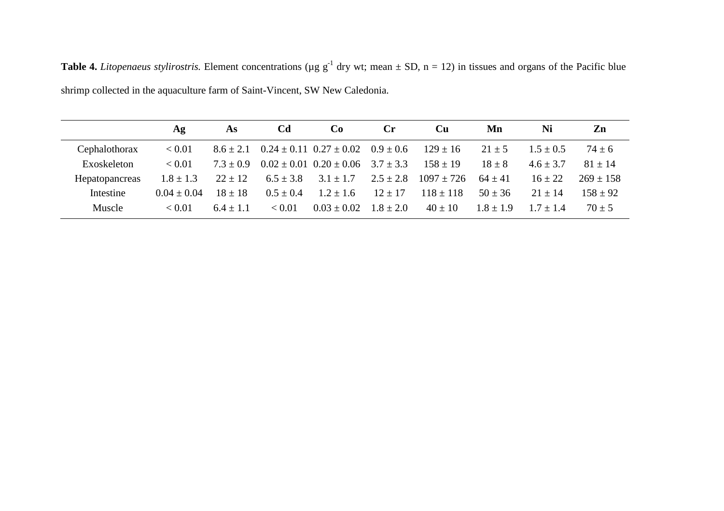|                | Αg            | As            | Cd            | Co                                            | Cr            | Cu             | Mn            | Ni            | Zn            |
|----------------|---------------|---------------|---------------|-----------------------------------------------|---------------|----------------|---------------|---------------|---------------|
| Cephalothorax  | < 0.01        | $8.6 \pm 2.1$ |               | $0.24 \pm 0.11$ $0.27 \pm 0.02$               | $0.9 \pm 0.6$ | $129 \pm 16$   | $21 \pm 5$    | $1.5 \pm 0.5$ | $74 \pm 6$    |
| Exoskeleton    | < 0.01        | $7.3 \pm 0.9$ |               | $0.02 \pm 0.01$ $0.20 \pm 0.06$ $3.7 \pm 3.3$ |               | $158 \pm 19$   | $18 \pm 8$    | $4.6 \pm 3.7$ | $81 \pm 14$   |
| Hepatopancreas | $1.8 \pm 1.3$ | $22 \pm 12$   | $6.5 \pm 3.8$ | $3.1 \pm 1.7$                                 | $2.5 \pm 2.8$ | $1097 \pm 726$ | $64 \pm 41$   | $16 \pm 22$   | $269 \pm 158$ |
| Intestine      | $0.04 + 0.04$ | $18 \pm 18$   | $0.5 \pm 0.4$ | $1.2 \pm 1.6$                                 | $12 \pm 17$   | $118 \pm 118$  | $50 \pm 36$   | $21 \pm 14$   | $158 \pm 92$  |
| Muscle         | < 0.01        | $6.4 + 1.1$   | ${}_{< 0.01}$ | $0.03 \pm 0.02$                               | $1.8 \pm 2.0$ | $40 \pm 10$    | $1.8 \pm 1.9$ | $1.7 + 1.4$   | $70 \pm 5$    |

**Table 4.** *Litopenaeus stylirostris*. Element concentrations ( $\mu$ g g<sup>-1</sup> dry wt; mean  $\pm$  SD, n = 12) in tissues and organs of the Pacific blue shrimp collected in the aquaculture farm of Saint-Vincent, SW New Caledonia.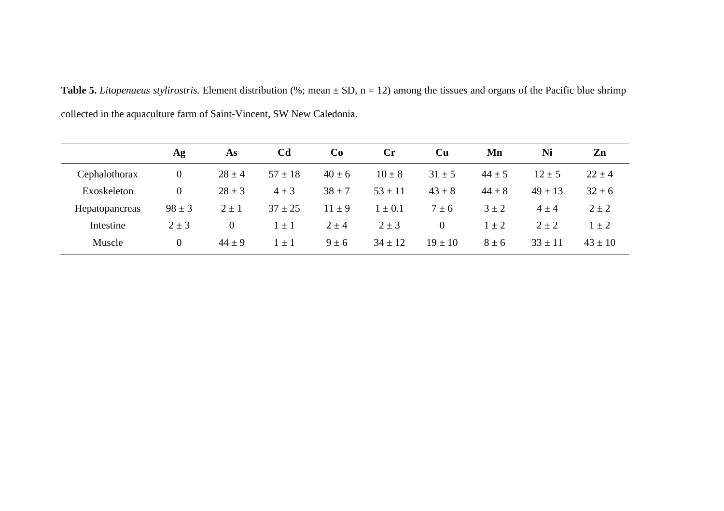**Table 5.** *Litopenaeus stylirostris.* Element distribution (%; mean ± SD, n = 12) among the tissues and organs of the Pacific blue shrimp collected in the aquaculture farm of Saint-Vincent, SW New Caledonia.

|                | Ag         | As             | C <sub>d</sub> | Co         | $\mathbf{C}$ r | <b>Cu</b>      | Mn         | Ni          | Zn          |
|----------------|------------|----------------|----------------|------------|----------------|----------------|------------|-------------|-------------|
| Cephalothorax  | $\theta$   | $28 \pm 4$     | $57 \pm 18$    | $40 \pm 6$ | $10 \pm 8$     | $31 \pm 5$     | $44 \pm 5$ | $12 \pm 5$  | $22 \pm 4$  |
| Exoskeleton    | $\theta$   | $28 \pm 3$     | $4 \pm 3$      | $38 \pm 7$ | $53 \pm 11$    | $43 \pm 8$     | $44 \pm 8$ | $49 \pm 13$ | $32 \pm 6$  |
| Hepatopancreas | $98 \pm 3$ | $2 \pm 1$      | $37 \pm 25$    | $11 \pm 9$ | $1 \pm 0.1$    | $7 \pm 6$      | $3 \pm 2$  | $4 \pm 4$   | $2 \pm 2$   |
| Intestine      | $2 \pm 3$  | $\overline{0}$ | $1 \pm 1$      | $2 \pm 4$  | $2 \pm 3$      | $\overline{0}$ | $1 \pm 2$  | $2 \pm 2$   | $1 + 2$     |
| Muscle         | $\theta$   | $44 \pm 9$     | $\pm$ 1        | $9 \pm 6$  | $34 \pm 12$    | $19 \pm 10$    | $8 \pm 6$  | $33 \pm 11$ | $43 \pm 10$ |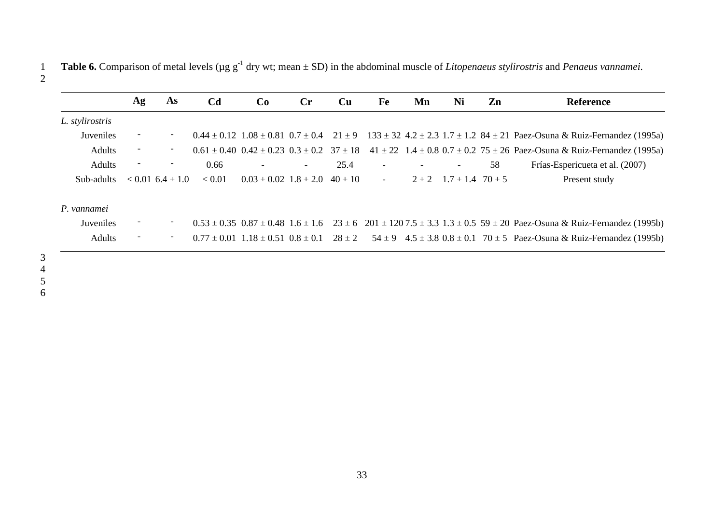**Table 6.** Comparison of metal levels (µg g-1 1 dry wt; mean ± SD) in the abdominal muscle of *Litopenaeus stylirostris* and *Penaeus vannamei*.

|                  | Ag                       | As                       | C <sub>d</sub> | Co                            | $\mathbf{C}$ r           | Cu        | Fe                       | Mn | Ni                                 | Zn | <b>Reference</b>                                                                                                                                   |
|------------------|--------------------------|--------------------------|----------------|-------------------------------|--------------------------|-----------|--------------------------|----|------------------------------------|----|----------------------------------------------------------------------------------------------------------------------------------------------------|
| L. stylirostris  |                          |                          |                |                               |                          |           |                          |    |                                    |    |                                                                                                                                                    |
| Juveniles        | -                        | $\overline{\phantom{a}}$ |                |                               |                          |           |                          |    |                                    |    | $0.44 \pm 0.12$ $1.08 \pm 0.81$ $0.7 \pm 0.4$ $21 \pm 9$ $133 \pm 32$ $4.2 \pm 2.3$ $1.7 \pm 1.2$ $84 \pm 21$ Paez-Osuna & Ruiz-Fernandez (1995a)  |
| Adults           | $\overline{\phantom{a}}$ | $\overline{\phantom{a}}$ |                |                               |                          |           |                          |    |                                    |    | $0.61 \pm 0.40$ $0.42 \pm 0.23$ $0.3 \pm 0.2$ $37 \pm 18$ $41 \pm 22$ $1.4 \pm 0.8$ $0.7 \pm 0.2$ $75 \pm 26$ Paez-Osuna & Ruiz-Fernandez (1995a)  |
| <b>Adults</b>    | $\overline{\phantom{a}}$ | $\overline{\phantom{a}}$ | 0.66           |                               | $\overline{\phantom{a}}$ | 25.4      | $\overline{\phantom{a}}$ |    |                                    | 58 | Frías-Espericueta et al. (2007)                                                                                                                    |
| Sub-adults       |                          | $< 0.01$ 6.4 $\pm$ 1.0   | < 0.01         | $0.03 \pm 0.02$ $1.8 \pm 2.0$ |                          | $40 + 10$ | $\overline{\phantom{a}}$ |    | $2 \pm 2$ 1.7 $\pm$ 1.4 70 $\pm$ 5 |    | Present study                                                                                                                                      |
| P. vannamei      |                          |                          |                |                               |                          |           |                          |    |                                    |    |                                                                                                                                                    |
| <b>Juveniles</b> |                          | -                        |                |                               |                          |           |                          |    |                                    |    | $0.53 \pm 0.35$ $0.87 \pm 0.48$ $1.6 \pm 1.6$ $23 \pm 6$ $201 \pm 120$ $7.5 \pm 3.3$ $1.3 \pm 0.5$ $59 \pm 20$ Paez-Osuna & Ruiz-Fernandez (1995b) |
| <b>Adults</b>    | $\overline{\phantom{a}}$ | $\overline{\phantom{a}}$ |                |                               |                          |           |                          |    |                                    |    | $0.77 \pm 0.01$ $1.18 \pm 0.51$ $0.8 \pm 0.1$ $28 \pm 2$ $54 \pm 9$ $4.5 \pm 3.8$ $0.8 \pm 0.1$ $70 \pm 5$ Paez-Osuna & Ruiz-Fernandez (1995b)     |
|                  |                          |                          |                |                               |                          |           |                          |    |                                    |    |                                                                                                                                                    |

3<br>4<br>5<br>6

2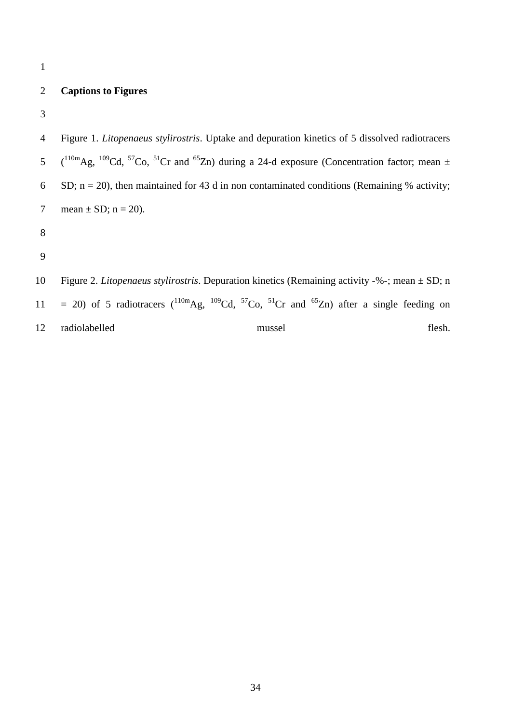1

# 2 **Captions to Figures**

3

4 Figure 1. *Litopenaeus stylirostris*. Uptake and depuration kinetics of 5 dissolved radiotracers 5  $(^{110m}Ag, \frac{109}{Cd}, \frac{57}{Cd}, \frac{51}{Cr}$  and  $^{65}Zn$ ) during a 24-d exposure (Concentration factor; mean  $\pm$ 6 SD;  $n = 20$ ), then maintained for 43 d in non contaminated conditions (Remaining % activity; 7 mean  $\pm$  SD; n = 20). 8 9 10 Figure 2. *Litopenaeus stylirostris*. Depuration kinetics (Remaining activity -%-; mean ± SD; n 11 = 20) of 5 radiotracers  $(^{110m}Ag, ^{109}Cd, ^{57}Co, ^{51}Cr$  and  $^{65}Zn)$  after a single feeding on

12 radiolabelled mussel flesh.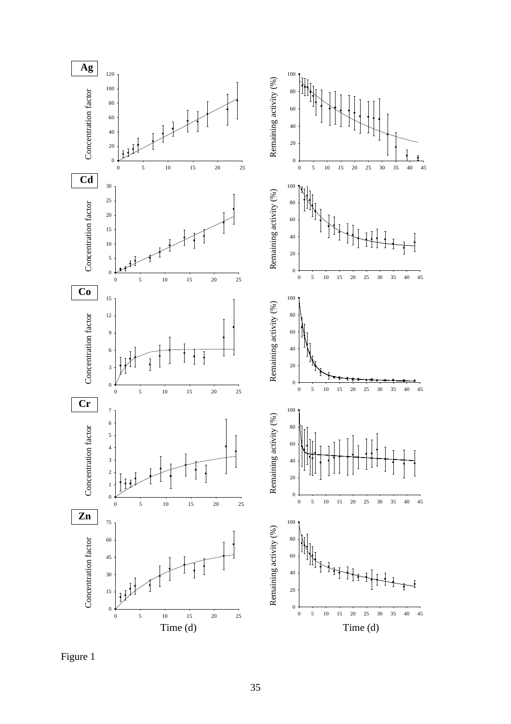

Figure 1